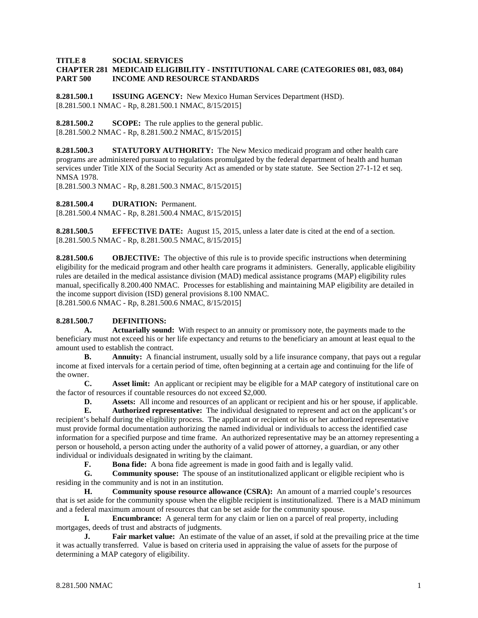### **TITLE 8 SOCIAL SERVICES**

## **CHAPTER 281 MEDICAID ELIGIBILITY - INSTITUTIONAL CARE (CATEGORIES 081, 083, 084) PART 500 INCOME AND RESOURCE STANDARDS**

**8.281.500.1 ISSUING AGENCY:** New Mexico Human Services Department (HSD). [8.281.500.1 NMAC - Rp, 8.281.500.1 NMAC, 8/15/2015]

**8.281.500.2 SCOPE:** The rule applies to the general public. [8.281.500.2 NMAC - Rp, 8.281.500.2 NMAC, 8/15/2015]

**8.281.500.3 STATUTORY AUTHORITY:** The New Mexico medicaid program and other health care programs are administered pursuant to regulations promulgated by the federal department of health and human services under Title XIX of the Social Security Act as amended or by state statute. See Section 27-1-12 et seq. NMSA 1978.

[8.281.500.3 NMAC - Rp, 8.281.500.3 NMAC, 8/15/2015]

**8.281.500.4 DURATION:** Permanent.

[8.281.500.4 NMAC - Rp, 8.281.500.4 NMAC, 8/15/2015]

**8.281.500.5 EFFECTIVE DATE:** August 15, 2015, unless a later date is cited at the end of a section. [8.281.500.5 NMAC - Rp, 8.281.500.5 NMAC, 8/15/2015]

**8.281.500.6 OBJECTIVE:** The objective of this rule is to provide specific instructions when determining eligibility for the medicaid program and other health care programs it administers. Generally, applicable eligibility rules are detailed in the medical assistance division (MAD) medical assistance programs (MAP) eligibility rules manual, specifically 8.200.400 NMAC. Processes for establishing and maintaining MAP eligibility are detailed in the income support division (ISD) general provisions 8.100 NMAC. [8.281.500.6 NMAC - Rp, 8.281.500.6 NMAC, 8/15/2015]

## **8.281.500.7 DEFINITIONS:**

**A. Actuarially sound:** With respect to an annuity or promissory note, the payments made to the beneficiary must not exceed his or her life expectancy and returns to the beneficiary an amount at least equal to the amount used to establish the contract.

**B. Annuity:** A financial instrument, usually sold by a life insurance company, that pays out a regular income at fixed intervals for a certain period of time, often beginning at a certain age and continuing for the life of the owner.

**C. Asset limit:** An applicant or recipient may be eligible for a MAP category of institutional care on the factor of resources if countable resources do not exceed \$2,000.

**D. Assets:** All income and resources of an applicant or recipient and his or her spouse, if applicable.

**E. Authorized representative:** The individual designated to represent and act on the applicant's or recipient's behalf during the eligibility process. The applicant or recipient or his or her authorized representative must provide formal documentation authorizing the named individual or individuals to access the identified case information for a specified purpose and time frame. An authorized representative may be an attorney representing a person or household, a person acting under the authority of a valid power of attorney, a guardian, or any other individual or individuals designated in writing by the claimant.

**F. Bona fide:** A bona fide agreement is made in good faith and is legally valid.

**G. Community spouse:** The spouse of an institutionalized applicant or eligible recipient who is residing in the community and is not in an institution.

**H. Community spouse resource allowance (CSRA):** An amount of a married couple's resources that is set aside for the community spouse when the eligible recipient is institutionalized. There is a MAD minimum and a federal maximum amount of resources that can be set aside for the community spouse.

**I. Encumbrance:** A general term for any claim or lien on a parcel of real property, including mortgages, deeds of trust and abstracts of judgments.

**J. Fair market value:** An estimate of the value of an asset, if sold at the prevailing price at the time it was actually transferred. Value is based on criteria used in appraising the value of assets for the purpose of determining a MAP category of eligibility.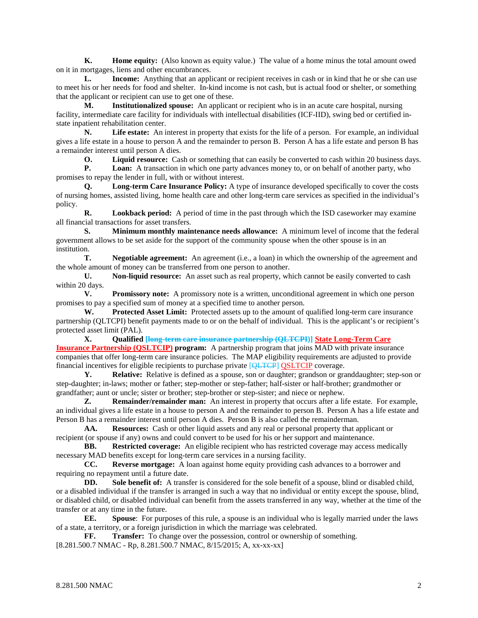**K. Home equity:** (Also known as equity value.) The value of a home minus the total amount owed on it in mortgages, liens and other encumbrances.

**L. Income:** Anything that an applicant or recipient receives in cash or in kind that he or she can use to meet his or her needs for food and shelter. In-kind income is not cash, but is actual food or shelter, or something that the applicant or recipient can use to get one of these.

**M. Institutionalized spouse:** An applicant or recipient who is in an acute care hospital, nursing facility, intermediate care facility for individuals with intellectual disabilities (ICF-IID), swing bed or certified instate inpatient rehabilitation center.

**N. Life estate:** An interest in property that exists for the life of a person. For example, an individual gives a life estate in a house to person A and the remainder to person B. Person A has a life estate and person B has a remainder interest until person A dies.

**O. Liquid resource:** Cash or something that can easily be converted to cash within 20 business days.<br>**P. Loan:** A transaction in which one party advances money to, or on behalf of another party, who

**Loan:** A transaction in which one party advances money to, or on behalf of another party, who promises to repay the lender in full, with or without interest.

**Q. Long-term Care Insurance Policy:** A type of insurance developed specifically to cover the costs of [nursing homes, assisted living,](http://www.agingcare.com/Articles/evaluate-living-options-for-elderly-parents-95733.htm) [home health care](http://www.agingcare.com/Articles/How-do-I-Choose-Home-Care-for-Elderly-Parents-137210.htm) and other long-term care services as specified in the individual's policy.

**R. Lookback period:** A period of time in the past through which the ISD caseworker may examine all financial transactions for asset transfers.

**S. Minimum monthly maintenance needs allowance:** A minimum level of income that the federal government allows to be set aside for the support of the community spouse when the other spouse is in an institution.<br>T.

**Negotiable agreement:** An agreement (i.e., a loan) in which the ownership of the agreement and the whole amount of money can be transferred from one person to another.

**U. Non-liquid resource:** An asset such as real property, which cannot be easily converted to cash within 20 days.

**V. Promissory note:** A promissory note is a written, unconditional agreement in which one person promises to pay a specified sum of money at a specified time to another person.

**W. Protected Asset Limit:** Protected assets up to the amount of qualified long-term care insurance partnership (QLTCPI) benefit payments made to or on the behalf of individual. This is the applicant's or recipient's protected asset limit (PAL).

**X. Qualified [long-term care insurance partnership (QLTCPI)] State Long-Term Care Insurance Partnership (QSLTCIP) program:** A partnership program that joins MAD with private insurance companies that offer long-term care insurance policies. The MAP eligibility requirements are adjusted to provide financial incentives for eligible recipients to purchase private [QLTCP] QSLTCIP coverage.

**Y. Relative:** Relative is defined as a spouse, son or daughter; grandson or granddaughter; step-son or step-daughter; in-laws; mother or father; step-mother or step-father; half-sister or half-brother; grandmother or grandfather; aunt or uncle; sister or brother; step-brother or step-sister; and niece or nephew.

**Z. Remainder/remainder man:** An interest in property that occurs after a life estate. For example, an individual gives a life estate in a house to person A and the remainder to person B. Person A has a life estate and Person B has a remainder interest until person A dies. Person B is also called the remainderman.

**AA. Resources:** Cash or other liquid assets and any real or personal property that applicant or recipient (or spouse if any) owns and could convert to be used for his or her support and maintenance.<br> **BB.** Restricted coverage: An eligible recipient who has restricted coverage may access

**Restricted coverage:** An eligible recipient who has restricted coverage may access medically necessary MAD benefits except for long-term care services in a nursing facility.

**CC. Reverse mortgage:** A loan against home equity providing cash advances to a borrower and requiring no repayment until a future date.

**DD. Sole benefit of:** A transfer is considered for the sole benefit of a spouse, blind or disabled child, or a disabled individual if the transfer is arranged in such a way that no individual or entity except the spouse, blind, or disabled child, or disabled individual can benefit from the assets transferred in any way, whether at the time of the transfer or at any time in the future.

**EE. Spouse**: For purposes of this rule, a spouse is an individual who is legally married under the laws of a state, a territory, or a foreign jurisdiction in which the marriage was celebrated.

**FF. Transfer:** To change over the possession, control or ownership of something.

[8.281.500.7 NMAC - Rp, 8.281.500.7 NMAC, 8/15/2015; A, xx-xx-xx]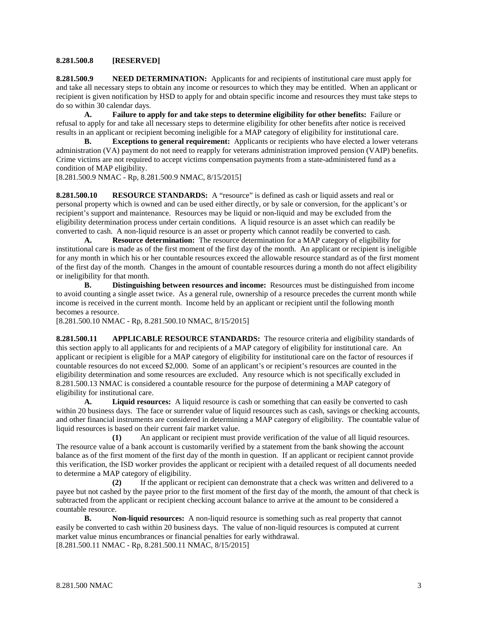### **8.281.500.8 [RESERVED]**

**8.281.500.9 NEED DETERMINATION:** Applicants for and recipients of institutional care must apply for and take all necessary steps to obtain any income or resources to which they may be entitled. When an applicant or recipient is given notification by HSD to apply for and obtain specific income and resources they must take steps to do so within 30 calendar days.

**A. Failure to apply for and take steps to determine eligibility for other benefits:** Failure or refusal to apply for and take all necessary steps to determine eligibility for other benefits after notice is received results in an applicant or recipient becoming ineligible for a MAP category of eligibility for institutional care.

**B. Exceptions to general requirement:** Applicants or recipients who have elected a lower veterans administration (VA) payment do not need to reapply for veterans administration improved pension (VAIP) benefits. Crime victims are not required to accept victims compensation payments from a state-administered fund as a condition of MAP eligibility.

[8.281.500.9 NMAC - Rp, 8.281.500.9 NMAC, 8/15/2015]

**8.281.500.10 RESOURCE STANDARDS:** A "resource" is defined as cash or liquid assets and real or personal property which is owned and can be used either directly, or by sale or conversion, for the applicant's or recipient's support and maintenance. Resources may be liquid or non-liquid and may be excluded from the eligibility determination process under certain conditions. A liquid resource is an asset which can readily be converted to cash. A non-liquid resource is an asset or property which cannot readily be converted to cash.

**A. Resource determination:** The resource determination for a MAP category of eligibility for institutional care is made as of the first moment of the first day of the month. An applicant or recipient is ineligible for any month in which his or her countable resources exceed the allowable resource standard as of the first moment of the first day of the month. Changes in the amount of countable resources during a month do not affect eligibility or ineligibility for that month.<br>**B.** Distinguishi

**Distinguishing between resources and income:** Resources must be distinguished from income to avoid counting a single asset twice. As a general rule, ownership of a resource precedes the current month while income is received in the current month. Income held by an applicant or recipient until the following month becomes a resource.

[8.281.500.10 NMAC - Rp, 8.281.500.10 NMAC, 8/15/2015]

**8.281.500.11 APPLICABLE RESOURCE STANDARDS:** The resource criteria and eligibility standards of this section apply to all applicants for and recipients of a MAP category of eligibility for institutional care. An applicant or recipient is eligible for a MAP category of eligibility for institutional care on the factor of resources if countable resources do not exceed \$2,000. Some of an applicant's or recipient's resources are counted in the eligibility determination and some resources are excluded. Any resource which is not specifically excluded in 8.281.500.13 NMAC is considered a countable resource for the purpose of determining a MAP category of eligibility for institutional care.

**A. Liquid resources:** A liquid resource is cash or something that can easily be converted to cash within 20 business days. The face or surrender value of liquid resources such as cash, savings or checking accounts, and other financial instruments are considered in determining a MAP category of eligibility. The countable value of liquid resources is based on their current fair market value.

**(1)** An applicant or recipient must provide verification of the value of all liquid resources. The resource value of a bank account is customarily verified by a statement from the bank showing the account balance as of the first moment of the first day of the month in question. If an applicant or recipient cannot provide this verification, the ISD worker provides the applicant or recipient with a detailed request of all documents needed to determine a MAP category of eligibility.

**(2)** If the applicant or recipient can demonstrate that a check was written and delivered to a payee but not cashed by the payee prior to the first moment of the first day of the month, the amount of that check is subtracted from the applicant or recipient checking account balance to arrive at the amount to be considered a countable resource.

**B. Non-liquid resources:** A non-liquid resource is something such as real property that cannot easily be converted to cash within 20 business days. The value of non-liquid resources is computed at current market value minus encumbrances or financial penalties for early withdrawal. [8.281.500.11 NMAC - Rp, 8.281.500.11 NMAC, 8/15/2015]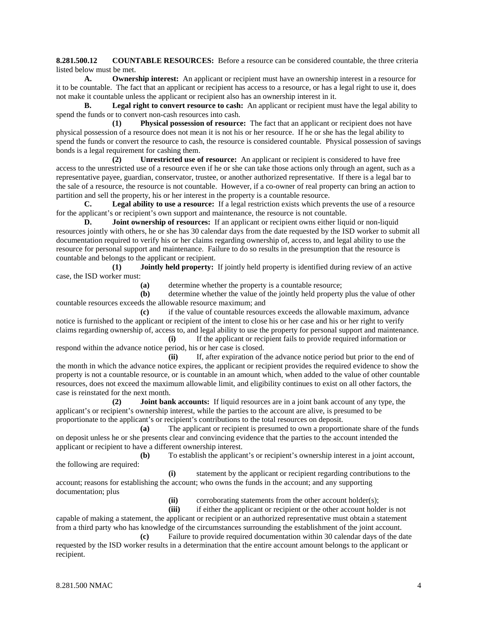**8.281.500.12 COUNTABLE RESOURCES:** Before a resource can be considered countable, the three criteria listed below must be met.

**A. Ownership interest:** An applicant or recipient must have an ownership interest in a resource for it to be countable. The fact that an applicant or recipient has access to a resource, or has a legal right to use it, does not make it countable unless the applicant or recipient also has an ownership interest in it.

**B. Legal right to convert resource to cash:** An applicant or recipient must have the legal ability to spend the funds or to convert non-cash resources into cash.

**(1) Physical possession of resource:** The fact that an applicant or recipient does not have physical possession of a resource does not mean it is not his or her resource. If he or she has the legal ability to spend the funds or convert the resource to cash, the resource is considered countable. Physical possession of savings bonds is a legal requirement for cashing them.

**(2) Unrestricted use of resource:** An applicant or recipient is considered to have free access to the unrestricted use of a resource even if he or she can take those actions only through an agent, such as a representative payee, guardian, conservator, trustee, or another authorized representative. If there is a legal bar to the sale of a resource, the resource is not countable. However, if a co-owner of real property can bring an action to partition and sell the property, his or her interest in the property is a countable resource.

**C. Legal ability to use a resource:** If a legal restriction exists which prevents the use of a resource for the applicant's or recipient's own support and maintenance, the resource is not countable.

**D. Joint ownership of resources:** If an applicant or recipient owns either liquid or non-liquid resources jointly with others, he or she has 30 calendar days from the date requested by the ISD worker to submit all documentation required to verify his or her claims regarding ownership of, access to, and legal ability to use the resource for personal support and maintenance. Failure to do so results in the presumption that the resource is countable and belongs to the applicant or recipient.

**(1) Jointly held property:** If jointly held property is identified during review of an active case, the ISD worker must:

**(a)** determine whether the property is a countable resource;

**(b)** determine whether the value of the jointly held property plus the value of other countable resources exceeds the allowable resource maximum; and

**(c)** if the value of countable resources exceeds the allowable maximum, advance notice is furnished to the applicant or recipient of the intent to close his or her case and his or her right to verify claims regarding ownership of, access to, and legal ability to use the property for personal support and maintenance.

**(i)** If the applicant or recipient fails to provide required information or respond within the advance notice period, his or her case is closed.

**(ii)** If, after expiration of the advance notice period but prior to the end of the month in which the advance notice expires, the applicant or recipient provides the required evidence to show the property is not a countable resource, or is countable in an amount which, when added to the value of other countable resources, does not exceed the maximum allowable limit, and eligibility continues to exist on all other factors, the case is reinstated for the next month.

**(2) Joint bank accounts:** If liquid resources are in a joint bank account of any type, the applicant's or recipient's ownership interest, while the parties to the account are alive, is presumed to be proportionate to the applicant's or recipient's contributions to the total resources on deposit.

**(a)** The applicant or recipient is presumed to own a proportionate share of the funds on deposit unless he or she presents clear and convincing evidence that the parties to the account intended the applicant or recipient to have a different ownership interest.

**(b)** To establish the applicant's or recipient's ownership interest in a joint account, the following are required:

**(i)** statement by the applicant or recipient regarding contributions to the account; reasons for establishing the account; who owns the funds in the account; and any supporting documentation; plus

**(ii)** corroborating statements from the other account holder(s);

**(iii)** if either the applicant or recipient or the other account holder is not capable of making a statement, the applicant or recipient or an authorized representative must obtain a statement from a third party who has knowledge of the circumstances surrounding the establishment of the joint account.

**(c)** Failure to provide required documentation within 30 calendar days of the date requested by the ISD worker results in a determination that the entire account amount belongs to the applicant or recipient.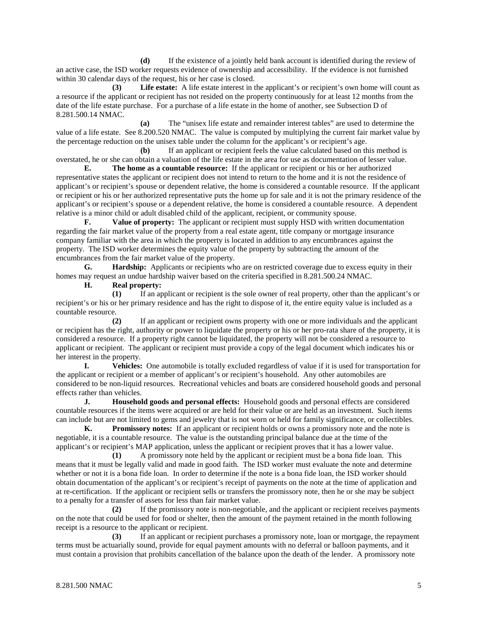**(d)** If the existence of a jointly held bank account is identified during the review of an active case, the ISD worker requests evidence of ownership and accessibility. If the evidence is not furnished within 30 calendar days of the request, his or her case is closed.

**(3) Life estate:** A life estate interest in the applicant's or recipient's own home will count as a resource if the applicant or recipient has not resided on the property continuously for at least 12 months from the date of the life estate purchase. For a purchase of a life estate in the home of another, see Subsection D of 8.281.500.14 NMAC.

**(a)** The "unisex life estate and remainder interest tables" are used to determine the value of a life estate. See 8.200.520 NMAC. The value is computed by multiplying the current fair market value by the percentage reduction on the unisex table under the column for the applicant's or recipient's age.

**(b)** If an applicant or recipient feels the value calculated based on this method is overstated, he or she can obtain a valuation of the life estate in the area for use as documentation of lesser value.

**E. The home as a countable resource:** If the applicant or recipient or his or her authorized representative states the applicant or recipient does not intend to return to the home and it is not the residence of applicant's or recipient's spouse or dependent relative, the home is considered a countable resource. If the applicant or recipient or his or her authorized representative puts the home up for sale and it is not the primary residence of the applicant's or recipient's spouse or a dependent relative, the home is considered a countable resource. A dependent relative is a minor child or adult disabled child of the applicant, recipient, or community spouse.

**F. Value of property:** The applicant or recipient must supply HSD with written documentation regarding the fair market value of the property from a real estate agent, title company or mortgage insurance company familiar with the area in which the property is located in addition to any encumbrances against the property. The ISD worker determines the equity value of the property by subtracting the amount of the encumbrances from the fair market value of the property.

**G. Hardship:** Applicants or recipients who are on restricted coverage due to excess equity in their homes may request an undue hardship waiver based on the criteria specified in 8.281.500.24 NMAC.

**H. Real property:**

**(1)** If an applicant or recipient is the sole owner of real property, other than the applicant's or recipient's or his or her primary residence and has the right to dispose of it, the entire equity value is included as a countable resource.

**(2)** If an applicant or recipient owns property with one or more individuals and the applicant or recipient has the right, authority or power to liquidate the property or his or her pro-rata share of the property, it is considered a resource. If a property right cannot be liquidated, the property will not be considered a resource to applicant or recipient. The applicant or recipient must provide a copy of the legal document which indicates his or her interest in the property.

**I. Vehicles:** One automobile is totally excluded regardless of value if it is used for transportation for the applicant or recipient or a member of applicant's or recipient's household. Any other automobiles are considered to be non-liquid resources. Recreational vehicles and boats are considered household goods and personal effects rather than vehicles.

**J. Household goods and personal effects:** Household goods and personal effects are considered countable resources if the items were acquired or are held for their value or are held as an investment. Such items can include but are not limited to gems and jewelry that is not worn or held for family significance, or collectibles.

**K. Promissory notes:** If an applicant or recipient holds or owns a promissory note and the note is negotiable, it is a countable resource. The value is the outstanding principal balance due at the time of the applicant's or recipient's MAP application, unless the applicant or recipient proves that it has a lower value.

**(1)** A promissory note held by the applicant or recipient must be a bona fide loan. This means that it must be legally valid and made in good faith. The ISD worker must evaluate the note and determine whether or not it is a bona fide loan. In order to determine if the note is a bona fide loan, the ISD worker should obtain documentation of the applicant's or recipient's receipt of payments on the note at the time of application and at re-certification. If the applicant or recipient sells or transfers the promissory note, then he or she may be subject to a penalty for a transfer of assets for less than fair market value.

**(2)** If the promissory note is non-negotiable, and the applicant or recipient receives payments on the note that could be used for food or shelter, then the amount of the payment retained in the month following receipt is a resource to the applicant or recipient.

**(3)** If an applicant or recipient purchases a promissory note, loan or mortgage, the repayment terms must be actuarially sound, provide for equal payment amounts with no deferral or balloon payments, and it must contain a provision that prohibits cancellation of the balance upon the death of the lender. A promissory note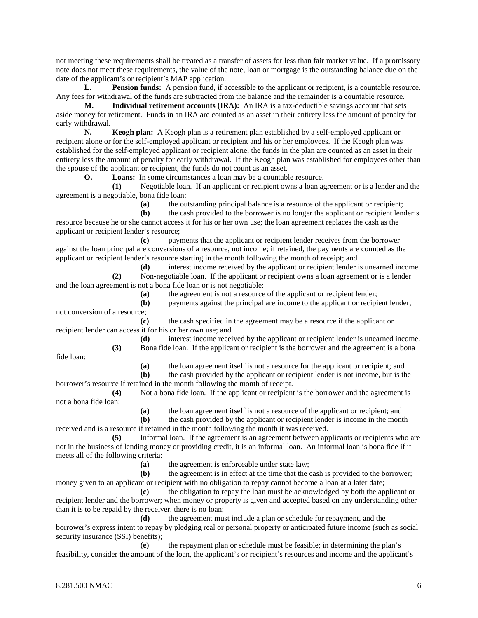not meeting these requirements shall be treated as a transfer of assets for less than fair market value. If a promissory note does not meet these requirements, the value of the note, loan or mortgage is the outstanding balance due on the date of the applicant's or recipient's MAP application.

**L. Pension funds:** A pension fund, if accessible to the applicant or recipient, is a countable resource. Any fees for withdrawal of the funds are subtracted from the balance and the remainder is a countable resource.

**M. Individual retirement accounts (IRA):** An IRA is a tax-deductible savings account that sets aside money for retirement. Funds in an IRA are counted as an asset in their entirety less the amount of penalty for early withdrawal.

**N. Keogh plan:** A Keogh plan is a retirement plan established by a self-employed applicant or recipient alone or for the self-employed applicant or recipient and his or her employees. If the Keogh plan was established for the self-employed applicant or recipient alone, the funds in the plan are counted as an asset in their entirety less the amount of penalty for early withdrawal. If the Keogh plan was established for employees other than the spouse of the applicant or recipient, the funds do not count as an asset.

**O. Loans:** In some circumstances a loan may be a countable resource.

**(1)** Negotiable loan. If an applicant or recipient owns a loan agreement or is a lender and the agreement is a negotiable, bona fide loan:

**(a)** the outstanding principal balance is a resource of the applicant or recipient;

**(b)** the cash provided to the borrower is no longer the applicant or recipient lender's resource because he or she cannot access it for his or her own use; the loan agreement replaces the cash as the applicant or recipient lender's resource;

**(c)** payments that the applicant or recipient lender receives from the borrower against the loan principal are conversions of a resource, not income; if retained, the payments are counted as the applicant or recipient lender's resource starting in the month following the month of receipt; and

**(d)** interest income received by the applicant or recipient lender is unearned income. **(2)** Non-negotiable loan. If the applicant or recipient owns a loan agreement or is a lender and the loan agreement is not a bona fide loan or is not negotiable:

**(a)** the agreement is not a resource of the applicant or recipient lender;

**(b)** payments against the principal are income to the applicant or recipient lender, not conversion of a resource;

**(c)** the cash specified in the agreement may be a resource if the applicant or recipient lender can access it for his or her own use; and

> **(d)** interest income received by the applicant or recipient lender is unearned income. **(3)** Bona fide loan. If the applicant or recipient is the borrower and the agreement is a bona

fide loan:

**(a)** the loan agreement itself is not a resource for the applicant or recipient; and

**(b)** the cash provided by the applicant or recipient lender is not income, but is the borrower's resource if retained in the month following the month of receipt.

**(4)** Not a bona fide loan. If the applicant or recipient is the borrower and the agreement is not a bona fide loan:

**(a)** the loan agreement itself is not a resource of the applicant or recipient; and

**(b)** the cash provided by the applicant or recipient lender is income in the month received and is a resource if retained in the month following the month it was received.

**(5)** Informal loan. If the agreement is an agreement between applicants or recipients who are not in the business of lending money or providing credit, it is an informal loan. An informal loan is bona fide if it meets all of the following criteria:

**(a)** the agreement is enforceable under state law;

**(b)** the agreement is in effect at the time that the cash is provided to the borrower; money given to an applicant or recipient with no obligation to repay cannot become a loan at a later date;

**(c)** the obligation to repay the loan must be acknowledged by both the applicant or recipient lender and the borrower; when money or property is given and accepted based on any understanding other than it is to be repaid by the receiver, there is no loan;

**(d)** the agreement must include a plan or schedule for repayment, and the borrower's express intent to repay by pledging real or personal property or anticipated future income (such as social security insurance (SSI) benefits);

**(e)** the repayment plan or schedule must be feasible; in determining the plan's feasibility, consider the amount of the loan, the applicant's or recipient's resources and income and the applicant's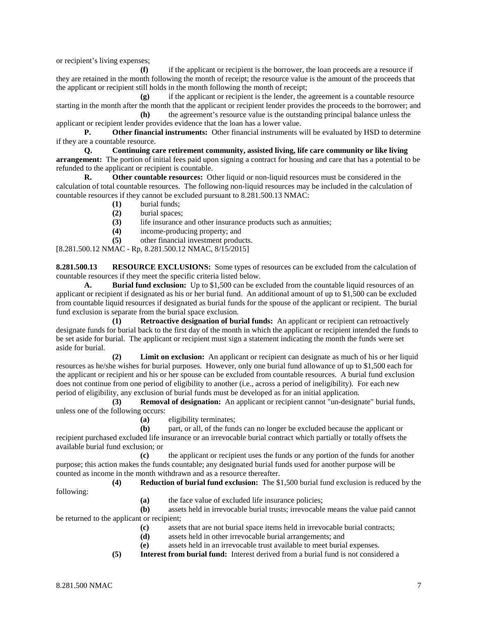or recipient's living expenses;

**(f)** if the applicant or recipient is the borrower, the loan proceeds are a resource if they are retained in the month following the month of receipt; the resource value is the amount of the proceeds that the applicant or recipient still holds in the month following the month of receipt;

**(g)** if the applicant or recipient is the lender, the agreement is a countable resource starting in the month after the month that the applicant or recipient lender provides the proceeds to the borrower; and

**(h)** the agreement's resource value is the outstanding principal balance unless the applicant or recipient lender provides evidence that the loan has a lower value.

**P.** Other financial instruments: Other financial instruments will be evaluated by HSD to determine if they are a countable resource.

**Q. Continuing care retirement community, assisted living, life care community or like living arrangement:** The portion of initial fees paid upon signing a contract for housing and care that has a potential to be refunded to the applicant or recipient is countable.

**R. Other countable resources:** Other liquid or non-liquid resources must be considered in the calculation of total countable resources. The following non-liquid resources may be included in the calculation of countable resources if they cannot be excluded pursuant to 8.281.500.13 NMAC:

- **(1)** burial funds;
- **(2)** burial spaces;
- (3) life insurance and other insurance products such as annuities;<br>(4) income-producing property: and
- **(4)** income-producing property; and
- **(5)** other financial investment products.

[8.281.500.12 NMAC - Rp, 8.281.500.12 NMAC, 8/15/2015]

**8.281.500.13 RESOURCE EXCLUSIONS:** Some types of resources can be excluded from the calculation of countable resources if they meet the specific criteria listed below.

**A. Burial fund exclusion:** Up to \$1,500 can be excluded from the countable liquid resources of an applicant or recipient if designated as his or her burial fund. An additional amount of up to \$1,500 can be excluded from countable liquid resources if designated as burial funds for the spouse of the applicant or recipient. The burial fund exclusion is separate from the burial space exclusion.

**(1) Retroactive designation of burial funds:** An applicant or recipient can retroactively designate funds for burial back to the first day of the month in which the applicant or recipient intended the funds to be set aside for burial. The applicant or recipient must sign a statement indicating the month the funds were set aside for burial.

**(2) Limit on exclusion:** An applicant or recipient can designate as much of his or her liquid resources as he/she wishes for burial purposes. However, only one burial fund allowance of up to \$1,500 each for the applicant or recipient and his or her spouse can be excluded from countable resources. A burial fund exclusion does not continue from one period of eligibility to another (i.e., across a period of ineligibility). For each new period of eligibility, any exclusion of burial funds must be developed as for an initial application.

**(3) Removal of designation:** An applicant or recipient cannot "un-designate" burial funds, unless one of the following occurs:

**(a)** eligibility terminates;

**(b)** part, or all, of the funds can no longer be excluded because the applicant or recipient purchased excluded life insurance or an irrevocable burial contract which partially or totally offsets the available burial fund exclusion; or

**(c)** the applicant or recipient uses the funds or any portion of the funds for another purpose; this action makes the funds countable; any designated burial funds used for another purpose will be counted as income in the month withdrawn and as a resource thereafter.

**(4) Reduction of burial fund exclusion:** The \$1,500 burial fund exclusion is reduced by the following:

**(a)** the face value of excluded life insurance policies;

**(b)** assets held in irrevocable burial trusts; irrevocable means the value paid cannot be returned to the applicant or recipient;

- **(c)** assets that are not burial space items held in irrevocable burial contracts;
- **(d)** assets held in other irrevocable burial arrangements; and
- **(e)** assets held in an irrevocable trust available to meet burial expenses.
- **(5) Interest from burial fund:** Interest derived from a burial fund is not considered a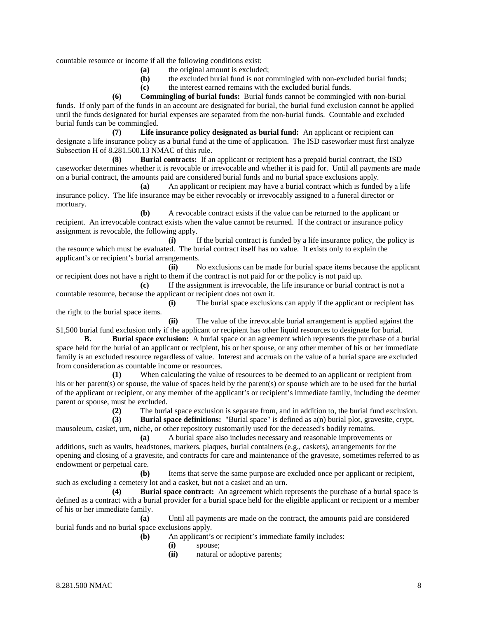countable resource or income if all the following conditions exist:

- **(a)** the original amount is excluded;
- **(b)** the excluded burial fund is not commingled with non-excluded burial funds;
- **(c)** the interest earned remains with the excluded burial funds.

**(6) Commingling of burial funds:** Burial funds cannot be commingled with non-burial funds. If only part of the funds in an account are designated for burial, the burial fund exclusion cannot be applied until the funds designated for burial expenses are separated from the non-burial funds. Countable and excluded burial funds can be commingled.

**(7) Life insurance policy designated as burial fund:** An applicant or recipient can designate a life insurance policy as a burial fund at the time of application. The ISD caseworker must first analyze Subsection H of 8.281.500.13 NMAC of this rule.

**(8) Burial contracts:** If an applicant or recipient has a prepaid burial contract, the ISD caseworker determines whether it is revocable or irrevocable and whether it is paid for. Until all payments are made on a burial contract, the amounts paid are considered burial funds and no burial space exclusions apply.

**(a)** An applicant or recipient may have a burial contract which is funded by a life insurance policy. The life insurance may be either revocably or irrevocably assigned to a funeral director or mortuary.

**(b)** A revocable contract exists if the value can be returned to the applicant or recipient. An irrevocable contract exists when the value cannot be returned. If the contract or insurance policy assignment is revocable, the following apply.

**(i)** If the burial contract is funded by a life insurance policy, the policy is the resource which must be evaluated. The burial contract itself has no value. It exists only to explain the applicant's or recipient's burial arrangements.

**(ii)** No exclusions can be made for burial space items because the applicant or recipient does not have a right to them if the contract is not paid for or the policy is not paid up.

**(c)** If the assignment is irrevocable, the life insurance or burial contract is not a countable resource, because the applicant or recipient does not own it.

**(i)** The burial space exclusions can apply if the applicant or recipient has the right to the burial space items.

**(ii)** The value of the irrevocable burial arrangement is applied against the \$1,500 burial fund exclusion only if the applicant or recipient has other liquid resources to designate for burial.

**B. Burial space exclusion:** A burial space or an agreement which represents the purchase of a burial space held for the burial of an applicant or recipient, his or her spouse, or any other member of his or her immediate family is an excluded resource regardless of value. Interest and accruals on the value of a burial space are excluded from consideration as countable income or resources.

When calculating the value of resources to be deemed to an applicant or recipient from his or her parent(s) or spouse, the value of spaces held by the parent(s) or spouse which are to be used for the burial of the applicant or recipient, or any member of the applicant's or recipient's immediate family, including the deemer parent or spouse, must be excluded.

**(2)** The burial space exclusion is separate from, and in addition to, the burial fund exclusion.

**(3) Burial space definitions:** "Burial space" is defined as a(n) burial plot, gravesite, crypt, mausoleum, casket, urn, niche, or other repository customarily used for the deceased's bodily remains.

**(a)** A burial space also includes necessary and reasonable improvements or additions, such as vaults, headstones, markers, plaques, burial containers (e.g., caskets), arrangements for the opening and closing of a gravesite, and contracts for care and maintenance of the gravesite, sometimes referred to as endowment or perpetual care.

**(b)** Items that serve the same purpose are excluded once per applicant or recipient, such as excluding a cemetery lot and a casket, but not a casket and an urn.

**(4) Burial space contract:** An agreement which represents the purchase of a burial space is defined as a contract with a burial provider for a burial space held for the eligible applicant or recipient or a member of his or her immediate family.

**(a)** Until all payments are made on the contract, the amounts paid are considered burial funds and no burial space exclusions apply.

- **(b)** An applicant's or recipient's immediate family includes:
	- **(i)** spouse;
	- **(ii)** natural or adoptive parents;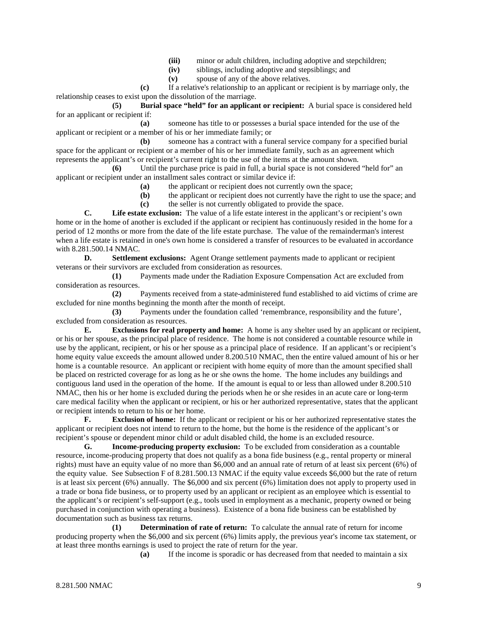- (iii) minor or adult children, including adoptive and stepchildren;<br>(iv) siblings, including adoptive and stepsiblings; and
- siblings, including adoptive and stepsiblings; and
- **(v)** spouse of any of the above relatives.

**(c)** If a relative's relationship to an applicant or recipient is by marriage only, the relationship ceases to exist upon the dissolution of the marriage.

**(5) Burial space "held" for an applicant or recipient:** A burial space is considered held for an applicant or recipient if:

**(a)** someone has title to or possesses a burial space intended for the use of the applicant or recipient or a member of his or her immediate family; or

**(b)** someone has a contract with a funeral service company for a specified burial space for the applicant or recipient or a member of his or her immediate family, such as an agreement which represents the applicant's or recipient's current right to the use of the items at the amount shown.

**(6)** Until the purchase price is paid in full, a burial space is not considered "held for" an applicant or recipient under an installment sales contract or similar device if:

**(a)** the applicant or recipient does not currently own the space;

**(b)** the applicant or recipient does not currently have the right to use the space; and

**(c)** the seller is not currently obligated to provide the space.

**C. Life estate exclusion:** The value of a life estate interest in the applicant's or recipient's own home or in the home of another is excluded if the applicant or recipient has continuously resided in the home for a period of 12 months or more from the date of the life estate purchase. The value of the remainderman's interest when a life estate is retained in one's own home is considered a transfer of resources to be evaluated in accordance with 8.281.500.14 NMAC.

**D. Settlement exclusions:** Agent Orange settlement payments made to applicant or recipient veterans or their survivors are excluded from consideration as resources.

**(1)** Payments made under the Radiation Exposure Compensation Act are excluded from consideration as resources.

**(2)** Payments received from a state-administered fund established to aid victims of crime are excluded for nine months beginning the month after the month of receipt.

**(3)** Payments under the foundation called 'remembrance, responsibility and the future', excluded from consideration as resources.

**E. Exclusions for real property and home:** A home is any shelter used by an applicant or recipient, or his or her spouse, as the principal place of residence. The home is not considered a countable resource while in use by the applicant, recipient, or his or her spouse as a principal place of residence. If an applicant's or recipient's home equity value exceeds the amount allowed under 8.200.510 NMAC, then the entire valued amount of his or her home is a countable resource. An applicant or recipient with home equity of more than the amount specified shall be placed on restricted coverage for as long as he or she owns the home. The home includes any buildings and contiguous land used in the operation of the home. If the amount is equal to or less than allowed under 8.200.510 NMAC, then his or her home is excluded during the periods when he or she resides in an acute care or long-term care medical facility when the applicant or recipient, or his or her authorized representative, states that the applicant or recipient intends to return to his or her home.

**F. Exclusion of home:** If the applicant or recipient or his or her authorized representative states the applicant or recipient does not intend to return to the home, but the home is the residence of the applicant's or recipient's spouse or dependent minor child or adult disabled child, the home is an excluded resource.<br> **G.** Income-producing property exclusion: To be excluded from consideration as a co

**Income-producing property exclusion:** To be excluded from consideration as a countable resource, income-producing property that does not qualify as a bona fide business (e.g., rental property or mineral rights) must have an equity value of no more than \$6,000 and an annual rate of return of at least six percent (6%) of the equity value. See Subsection F of 8.281.500.13 NMAC if the equity value exceeds \$6,000 but the rate of return is at least six percent (6%) annually. The \$6,000 and six percent (6%) limitation does not apply to property used in a trade or bona fide business, or to property used by an applicant or recipient as an employee which is essential to the applicant's or recipient's self-support (e.g., tools used in employment as a mechanic, property owned or being purchased in conjunction with operating a business). Existence of a bona fide business can be established by documentation such as business tax returns.

**(1) Determination of rate of return:** To calculate the annual rate of return for income producing property when the \$6,000 and six percent (6%) limits apply, the previous year's income tax statement, or at least three months earnings is used to project the rate of return for the year.

**(a)** If the income is sporadic or has decreased from that needed to maintain a six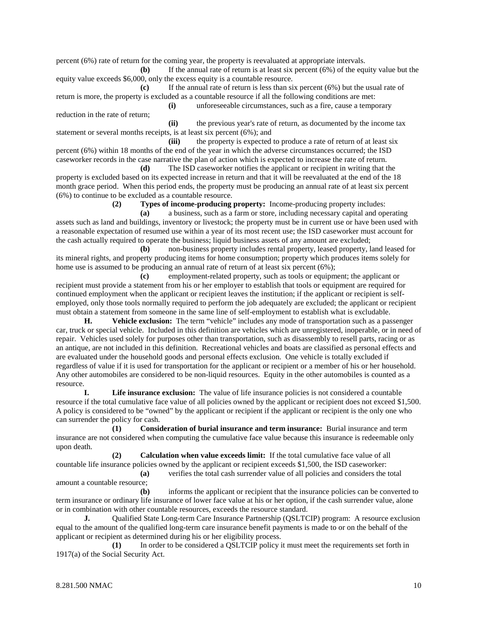percent (6%) rate of return for the coming year, the property is reevaluated at appropriate intervals.

**(b)** If the annual rate of return is at least six percent (6%) of the equity value but the equity value exceeds \$6,000, only the excess equity is a countable resource.

**(c)** If the annual rate of return is less than six percent (6%) but the usual rate of return is more, the property is excluded as a countable resource if all the following conditions are met:

reduction in the rate of return;

**(i)** unforeseeable circumstances, such as a fire, cause a temporary

**(ii)** the previous year's rate of return, as documented by the income tax statement or several months receipts, is at least six percent (6%); and

(iii) the property is expected to produce a rate of return of at least six percent (6%) within 18 months of the end of the year in which the adverse circumstances occurred; the ISD caseworker records in the case narrative the plan of action which is expected to increase the rate of return.

**(d)** The ISD caseworker notifies the applicant or recipient in writing that the property is excluded based on its expected increase in return and that it will be reevaluated at the end of the 18 month grace period. When this period ends, the property must be producing an annual rate of at least six percent (6%) to continue to be excluded as a countable resource.

**(2) Types of income-producing property:** Income-producing property includes:

**(a)** a business, such as a farm or store, including necessary capital and operating assets such as land and buildings, inventory or livestock; the property must be in current use or have been used with a reasonable expectation of resumed use within a year of its most recent use; the ISD caseworker must account for the cash actually required to operate the business; liquid business assets of any amount are excluded;

**(b)** non-business property includes rental property, leased property, land leased for its mineral rights, and property producing items for home consumption; property which produces items solely for home use is assumed to be producing an annual rate of return of at least six percent  $(6\%)$ ;

**(c)** employment-related property, such as tools or equipment; the applicant or recipient must provide a statement from his or her employer to establish that tools or equipment are required for continued employment when the applicant or recipient leaves the institution; if the applicant or recipient is selfemployed, only those tools normally required to perform the job adequately are excluded; the applicant or recipient must obtain a statement from someone in the same line of self-employment to establish what is excludable.

**H. Vehicle exclusion:** The term "vehicle" includes any mode of transportation such as a passenger car, truck or special vehicle. Included in this definition are vehicles which are unregistered, inoperable, or in need of repair. Vehicles used solely for purposes other than transportation, such as disassembly to resell parts, racing or as an antique, are not included in this definition. Recreational vehicles and boats are classified as personal effects and are evaluated under the household goods and personal effects exclusion. One vehicle is totally excluded if regardless of value if it is used for transportation for the applicant or recipient or a member of his or her household. Any other automobiles are considered to be non-liquid resources. Equity in the other automobiles is counted as a resource.

**I. Life insurance exclusion:** The value of life insurance policies is not considered a countable resource if the total cumulative face value of all policies owned by the applicant or recipient does not exceed \$1,500. A policy is considered to be "owned" by the applicant or recipient if the applicant or recipient is the only one who can surrender the policy for cash.

**(1) Consideration of burial insurance and term insurance:** Burial insurance and term insurance are not considered when computing the cumulative face value because this insurance is redeemable only upon death.

**(2) Calculation when value exceeds limit:** If the total cumulative face value of all countable life insurance policies owned by the applicant or recipient exceeds \$1,500, the ISD caseworker:

**(a)** verifies the total cash surrender value of all policies and considers the total amount a countable resource;

**(b)** informs the applicant or recipient that the insurance policies can be converted to term insurance or ordinary life insurance of lower face value at his or her option, if the cash surrender value, alone or in combination with other countable resources, exceeds the resource standard.

**J.** Qualified State Long-term Care Insurance Partnership (QSLTCIP) program: A resource exclusion equal to the amount of the qualified long-term care insurance benefit payments is made to or on the behalf of the applicant or recipient as determined during his or her eligibility process.

**(1)** In order to be considered a QSLTCIP policy it must meet the requirements set forth in 1917(a) of the Social Security Act.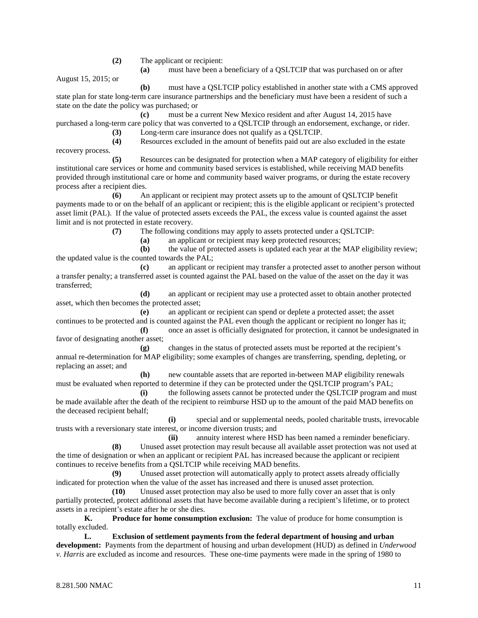- **(2)** The applicant or recipient:
	- **(a)** must have been a beneficiary of a QSLTCIP that was purchased on or after

August 15, 2015; or

**(b)** must have a QSLTCIP policy established in another state with a CMS approved state plan for state long-term care insurance partnerships and the beneficiary must have been a resident of such a state on the date the policy was purchased; or

**(c)** must be a current New Mexico resident and after August 14, 2015 have purchased a long-term care policy that was converted to a QSLTCIP through an endorsement, exchange, or rider.

**(3)** Long-term care insurance does not qualify as a QSLTCIP.

**(4)** Resources excluded in the amount of benefits paid out are also excluded in the estate recovery process.

**(5)** Resources can be designated for protection when a MAP category of eligibility for either institutional care services or home and community based services is established, while receiving MAD benefits provided through institutional care or home and community based waiver programs, or during the estate recovery process after a recipient dies.

**(6)** An applicant or recipient may protect assets up to the amount of QSLTCIP benefit payments made to or on the behalf of an applicant or recipient; this is the eligible applicant or recipient's protected asset limit (PAL). If the value of protected assets exceeds the PAL, the excess value is counted against the asset limit and is not protected in estate recovery.

**(7)** The following conditions may apply to assets protected under a QSLTCIP:

**(a)** an applicant or recipient may keep protected resources;

**(b)** the value of protected assets is updated each year at the MAP eligibility review; the updated value is the counted towards the PAL;

**(c)** an applicant or recipient may transfer a protected asset to another person without a transfer penalty; a transferred asset is counted against the PAL based on the value of the asset on the day it was transferred;

**(d)** an applicant or recipient may use a protected asset to obtain another protected asset, which then becomes the protected asset;

**(e)** an applicant or recipient can spend or deplete a protected asset; the asset continues to be protected and is counted against the PAL even though the applicant or recipient no longer has it; **(f)** once an asset is officially designated for protection, it cannot be undesignated in

favor of designating another asset;

**(g)** changes in the status of protected assets must be reported at the recipient's annual re-determination for MAP eligibility; some examples of changes are transferring, spending, depleting, or replacing an asset; and

**(h)** new countable assets that are reported in-between MAP eligibility renewals must be evaluated when reported to determine if they can be protected under the QSLTCIP program's PAL;

**(i)** the following assets cannot be protected under the QSLTCIP program and must be made available after the death of the recipient to reimburse HSD up to the amount of the paid MAD benefits on the deceased recipient behalf;

**(i)** special and or supplemental needs, pooled charitable trusts, irrevocable trusts with a reversionary state interest, or income diversion trusts; and

**(ii)** annuity interest where HSD has been named a reminder beneficiary. **(8)** Unused asset protection may result because all available asset protection was not used at the time of designation or when an applicant or recipient PAL has increased because the applicant or recipient continues to receive benefits from a QSLTCIP while receiving MAD benefits.

**(9)** Unused asset protection will automatically apply to protect assets already officially indicated for protection when the value of the asset has increased and there is unused asset protection.

**(10)** Unused asset protection may also be used to more fully cover an asset that is only partially protected, protect additional assets that have become available during a recipient's lifetime, or to protect assets in a recipient's estate after he or she dies.

**K. Produce for home consumption exclusion:** The value of produce for home consumption is totally excluded.

**L. Exclusion of settlement payments from the federal department of housing and urban development:** Payments from the department of housing and urban development (HUD) as defined in *Underwood v. Harris* are excluded as income and resources. These one-time payments were made in the spring of 1980 to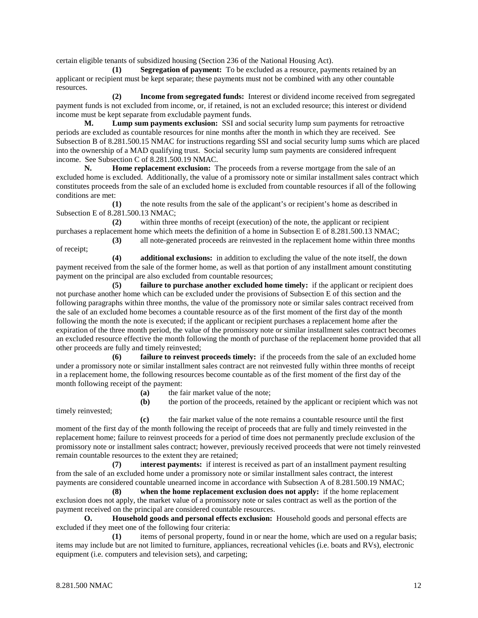certain eligible tenants of subsidized housing (Section 236 of the National Housing Act).

**(1) Segregation of payment:** To be excluded as a resource, payments retained by an applicant or recipient must be kept separate; these payments must not be combined with any other countable resources.

**(2) Income from segregated funds:** Interest or dividend income received from segregated payment funds is not excluded from income, or, if retained, is not an excluded resource; this interest or dividend income must be kept separate from excludable payment funds.

**M. Lump sum payments exclusion:** SSI and social security lump sum payments for retroactive periods are excluded as countable resources for nine months after the month in which they are received. See Subsection B of 8.281.500.15 NMAC for instructions regarding SSI and social security lump sums which are placed into the ownership of a MAD qualifying trust. Social security lump sum payments are considered infrequent income. See Subsection C of 8.281.500.19 NMAC.

**N. Home replacement exclusion:** The proceeds from a reverse mortgage from the sale of an excluded home is excluded. Additionally, the value of a promissory note or similar installment sales contract which constitutes proceeds from the sale of an excluded home is excluded from countable resources if all of the following conditions are met:

**(1)** the note results from the sale of the applicant's or recipient's home as described in Subsection E of 8.281.500.13 NMAC;

**(2)** within three months of receipt (execution) of the note, the applicant or recipient purchases a replacement home which meets the definition of a home in Subsection E of 8.281.500.13 NMAC; **(3)** all note-generated proceeds are reinvested in the replacement home within three months

of receipt;

**(4) additional exclusions:** in addition to excluding the value of the note itself, the down payment received from the sale of the former home, as well as that portion of any installment amount constituting payment on the principal are also excluded from countable resources;

**(5) failure to purchase another excluded home timely:** if the applicant or recipient does not purchase another home which can be excluded under the provisions of Subsection E of this section and the following paragraphs within three months, the value of the promissory note or similar sales contract received from the sale of an excluded home becomes a countable resource as of the first moment of the first day of the month following the month the note is executed; if the applicant or recipient purchases a replacement home after the expiration of the three month period, the value of the promissory note or similar installment sales contract becomes an excluded resource effective the month following the month of purchase of the replacement home provided that all other proceeds are fully and timely reinvested;

**(6) failure to reinvest proceeds timely:** if the proceeds from the sale of an excluded home under a promissory note or similar installment sales contract are not reinvested fully within three months of receipt in a replacement home, the following resources become countable as of the first moment of the first day of the month following receipt of the payment:

**(a)** the fair market value of the note;

timely reinvested;

**(b)** the portion of the proceeds, retained by the applicant or recipient which was not

**(c)** the fair market value of the note remains a countable resource until the first moment of the first day of the month following the receipt of proceeds that are fully and timely reinvested in the replacement home; failure to reinvest proceeds for a period of time does not permanently preclude exclusion of the promissory note or installment sales contract; however, previously received proceeds that were not timely reinvested remain countable resources to the extent they are retained;

**(7)** i**nterest payments:** if interest is received as part of an installment payment resulting from the sale of an excluded home under a promissory note or similar installment sales contract, the interest payments are considered countable unearned income in accordance with Subsection A of 8.281.500.19 NMAC;

**(8) when the home replacement exclusion does not apply:** if the home replacement exclusion does not apply, the market value of a promissory note or sales contract as well as the portion of the payment received on the principal are considered countable resources.

**O. Household goods and personal effects exclusion:** Household goods and personal effects are excluded if they meet one of the following four criteria:

**(1)** items of personal property, found in or near the home, which are used on a regular basis; items may include but are not limited to furniture, appliances, recreational vehicles (i.e. boats and RVs), electronic equipment (i.e. computers and television sets), and carpeting;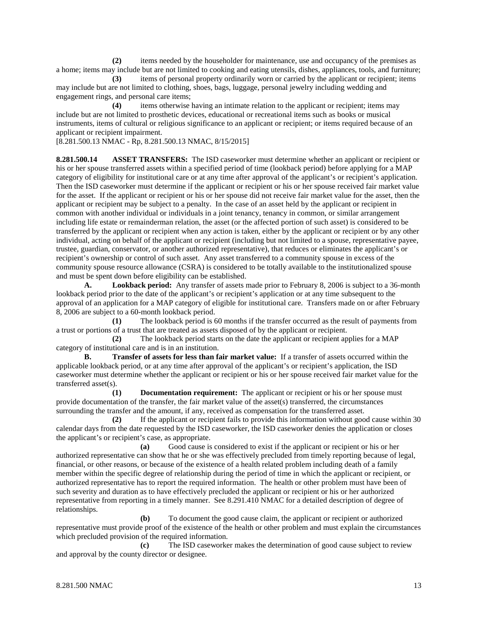**(2)** items needed by the householder for maintenance, use and occupancy of the premises as a home; items may include but are not limited to cooking and eating utensils, dishes, appliances, tools, and furniture;

**(3)** items of personal property ordinarily worn or carried by the applicant or recipient; items may include but are not limited to clothing, shoes, bags, luggage, personal jewelry including wedding and engagement rings, and personal care items;

**(4)** items otherwise having an intimate relation to the applicant or recipient; items may include but are not limited to prosthetic devices, educational or recreational items such as books or musical instruments, items of cultural or religious significance to an applicant or recipient; or items required because of an applicant or recipient impairment.

[8.281.500.13 NMAC - Rp, 8.281.500.13 NMAC, 8/15/2015]

**8.281.500.14 ASSET TRANSFERS:** The ISD caseworker must determine whether an applicant or recipient or his or her spouse transferred assets within a specified period of time (lookback period) before applying for a MAP category of eligibility for institutional care or at any time after approval of the applicant's or recipient's application. Then the ISD caseworker must determine if the applicant or recipient or his or her spouse received fair market value for the asset. If the applicant or recipient or his or her spouse did not receive fair market value for the asset, then the applicant or recipient may be subject to a penalty. In the case of an asset held by the applicant or recipient in common with another individual or individuals in a joint tenancy, tenancy in common, or similar arrangement including life estate or remainderman relation, the asset (or the affected portion of such asset) is considered to be transferred by the applicant or recipient when any action is taken, either by the applicant or recipient or by any other individual, acting on behalf of the applicant or recipient (including but not limited to a spouse, representative payee, trustee, guardian, conservator, or another authorized representative), that reduces or eliminates the applicant's or recipient's ownership or control of such asset. Any asset transferred to a community spouse in excess of the community spouse resource allowance (CSRA) is considered to be totally available to the institutionalized spouse and must be spent down before eligibility can be established.

**A. Lookback period:** Any transfer of assets made prior to February 8, 2006 is subject to a 36-month lookback period prior to the date of the applicant's or recipient's application or at any time subsequent to the approval of an application for a MAP category of eligible for institutional care. Transfers made on or after February 8, 2006 are subject to a 60-month lookback period.

**(1)** The lookback period is 60 months if the transfer occurred as the result of payments from a trust or portions of a trust that are treated as assets disposed of by the applicant or recipient.

**(2)** The lookback period starts on the date the applicant or recipient applies for a MAP category of institutional care and is in an institution.

**B. Transfer of assets for less than fair market value:** If a transfer of assets occurred within the applicable lookback period, or at any time after approval of the applicant's or recipient's application, the ISD caseworker must determine whether the applicant or recipient or his or her spouse received fair market value for the transferred asset(s).

**(1) Documentation requirement:** The applicant or recipient or his or her spouse must provide documentation of the transfer, the fair market value of the asset(s) transferred, the circumstances surrounding the transfer and the amount, if any, received as compensation for the transferred asset.

**(2)** If the applicant or recipient fails to provide this information without good cause within 30 calendar days from the date requested by the ISD caseworker, the ISD caseworker denies the application or closes the applicant's or recipient's case, as appropriate.

**(a)** Good cause is considered to exist if the applicant or recipient or his or her authorized representative can show that he or she was effectively precluded from timely reporting because of legal, financial, or other reasons, or because of the existence of a health related problem including death of a family member within the specific degree of relationship during the period of time in which the applicant or recipient, or authorized representative has to report the required information. The health or other problem must have been of such severity and duration as to have effectively precluded the applicant or recipient or his or her authorized representative from reporting in a timely manner. See 8.291.410 NMAC for a detailed description of degree of relationships.

**(b)** To document the good cause claim, the applicant or recipient or authorized representative must provide proof of the existence of the health or other problem and must explain the circumstances which precluded provision of the required information.

**(c)** The ISD caseworker makes the determination of good cause subject to review and approval by the county director or designee.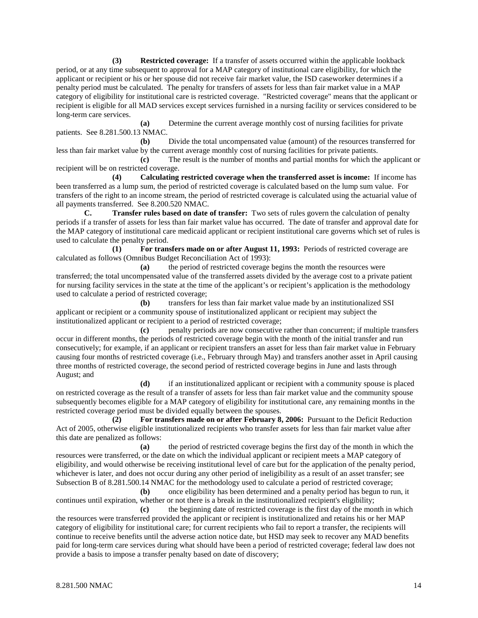**(3) Restricted coverage:** If a transfer of assets occurred within the applicable lookback period, or at any time subsequent to approval for a MAP category of institutional care eligibility, for which the applicant or recipient or his or her spouse did not receive fair market value, the ISD caseworker determines if a penalty period must be calculated. The penalty for transfers of assets for less than fair market value in a MAP category of eligibility for institutional care is restricted coverage. "Restricted coverage" means that the applicant or recipient is eligible for all MAD services except services furnished in a nursing facility or services considered to be long-term care services.

**(a)** Determine the current average monthly cost of nursing facilities for private patients. See 8.281.500.13 NMAC.

**(b)** Divide the total uncompensated value (amount) of the resources transferred for less than fair market value by the current average monthly cost of nursing facilities for private patients.

**(c)** The result is the number of months and partial months for which the applicant or recipient will be on restricted coverage.

**(4) Calculating restricted coverage when the transferred asset is income:** If income has been transferred as a lump sum, the period of restricted coverage is calculated based on the lump sum value. For transfers of the right to an income stream, the period of restricted coverage is calculated using the actuarial value of all payments transferred. See 8.200.520 NMAC.

**C. Transfer rules based on date of transfer:** Two sets of rules govern the calculation of penalty periods if a transfer of assets for less than fair market value has occurred. The date of transfer and approval date for the MAP category of institutional care medicaid applicant or recipient institutional care governs which set of rules is used to calculate the penalty period.

**(1) For transfers made on or after August 11, 1993:** Periods of restricted coverage are calculated as follows (Omnibus Budget Reconciliation Act of 1993):

**(a)** the period of restricted coverage begins the month the resources were transferred; the total uncompensated value of the transferred assets divided by the average cost to a private patient for nursing facility services in the state at the time of the applicant's or recipient's application is the methodology used to calculate a period of restricted coverage;

**(b)** transfers for less than fair market value made by an institutionalized SSI applicant or recipient or a community spouse of institutionalized applicant or recipient may subject the institutionalized applicant or recipient to a period of restricted coverage;

**(c)** penalty periods are now consecutive rather than concurrent; if multiple transfers occur in different months, the periods of restricted coverage begin with the month of the initial transfer and run consecutively; for example, if an applicant or recipient transfers an asset for less than fair market value in February causing four months of restricted coverage (i.e., February through May) and transfers another asset in April causing three months of restricted coverage, the second period of restricted coverage begins in June and lasts through August; and

**(d)** if an institutionalized applicant or recipient with a community spouse is placed on restricted coverage as the result of a transfer of assets for less than fair market value and the community spouse subsequently becomes eligible for a MAP category of eligibility for institutional care, any remaining months in the restricted coverage period must be divided equally between the spouses.

**(2) For transfers made on or after February 8, 2006:** Pursuant to the Deficit Reduction Act of 2005, otherwise eligible institutionalized recipients who transfer assets for less than fair market value after this date are penalized as follows:

**(a)** the period of restricted coverage begins the first day of the month in which the resources were transferred, or the date on which the individual applicant or recipient meets a MAP category of eligibility, and would otherwise be receiving institutional level of care but for the application of the penalty period, whichever is later, and does not occur during any other period of ineligibility as a result of an asset transfer; see Subsection B of 8.281.500.14 NMAC for the methodology used to calculate a period of restricted coverage;

**(b)** once eligibility has been determined and a penalty period has begun to run, it continues until expiration, whether or not there is a break in the institutionalized recipient's eligibility;

**(c)** the beginning date of restricted coverage is the first day of the month in which the resources were transferred provided the applicant or recipient is institutionalized and retains his or her MAP category of eligibility for institutional care; for current recipients who fail to report a transfer, the recipients will continue to receive benefits until the adverse action notice date, but HSD may seek to recover any MAD benefits paid for long-term care services during what should have been a period of restricted coverage; federal law does not provide a basis to impose a transfer penalty based on date of discovery;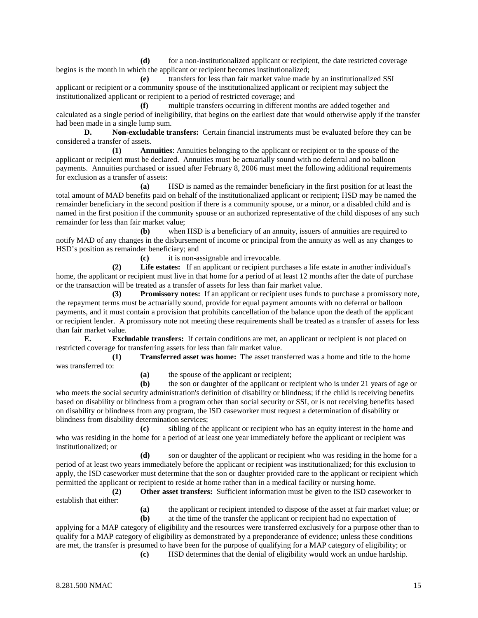**(d)** for a non-institutionalized applicant or recipient, the date restricted coverage begins is the month in which the applicant or recipient becomes institutionalized;

**(e)** transfers for less than fair market value made by an institutionalized SSI applicant or recipient or a community spouse of the institutionalized applicant or recipient may subject the institutionalized applicant or recipient to a period of restricted coverage; and

**(f)** multiple transfers occurring in different months are added together and calculated as a single period of ineligibility, that begins on the earliest date that would otherwise apply if the transfer had been made in a single lump sum.

**D. Non-excludable transfers:** Certain financial instruments must be evaluated before they can be considered a transfer of assets.

**(1) Annuities**: Annuities belonging to the applicant or recipient or to the spouse of the applicant or recipient must be declared. Annuities must be actuarially sound with no deferral and no balloon payments. Annuities purchased or issued after February 8, 2006 must meet the following additional requirements for exclusion as a transfer of assets:

**(a)** HSD is named as the remainder beneficiary in the first position for at least the total amount of MAD benefits paid on behalf of the institutionalized applicant or recipient; HSD may be named the remainder beneficiary in the second position if there is a community spouse, or a minor, or a disabled child and is named in the first position if the community spouse or an authorized representative of the child disposes of any such remainder for less than fair market value;

**(b)** when HSD is a beneficiary of an annuity, issuers of annuities are required to notify MAD of any changes in the disbursement of income or principal from the annuity as well as any changes to HSD's position as remainder beneficiary; and

**(c)** it is non-assignable and irrevocable.

**(2) Life estates:** If an applicant or recipient purchases a life estate in another individual's home, the applicant or recipient must live in that home for a period of at least 12 months after the date of purchase or the transaction will be treated as a transfer of assets for less than fair market value.

**(3) Promissory notes:** If an applicant or recipient uses funds to purchase a promissory note, the repayment terms must be actuarially sound, provide for equal payment amounts with no deferral or balloon payments, and it must contain a provision that prohibits cancellation of the balance upon the death of the applicant or recipient lender. A promissory note not meeting these requirements shall be treated as a transfer of assets for less than fair market value.

**E. Excludable transfers:** If certain conditions are met, an applicant or recipient is not placed on restricted coverage for transferring assets for less than fair market value.

**(1) Transferred asset was home:** The asset transferred was a home and title to the home was transferred to:

**(a)** the spouse of the applicant or recipient;

**(b)** the son or daughter of the applicant or recipient who is under 21 years of age or who meets the social security administration's definition of disability or blindness; if the child is receiving benefits based on disability or blindness from a program other than social security or SSI, or is not receiving benefits based on disability or blindness from any program, the ISD caseworker must request a determination of disability or blindness from disability determination services;

**(c)** sibling of the applicant or recipient who has an equity interest in the home and who was residing in the home for a period of at least one year immediately before the applicant or recipient was institutionalized; or

**(d)** son or daughter of the applicant or recipient who was residing in the home for a period of at least two years immediately before the applicant or recipient was institutionalized; for this exclusion to apply, the ISD caseworker must determine that the son or daughter provided care to the applicant or recipient which permitted the applicant or recipient to reside at home rather than in a medical facility or nursing home.

**(2) Other asset transfers:** Sufficient information must be given to the ISD caseworker to establish that either:

**(a)** the applicant or recipient intended to dispose of the asset at fair market value; or

**(b)** at the time of the transfer the applicant or recipient had no expectation of applying for a MAP category of eligibility and the resources were transferred exclusively for a purpose other than to qualify for a MAP category of eligibility as demonstrated by a preponderance of evidence; unless these conditions are met, the transfer is presumed to have been for the purpose of qualifying for a MAP category of eligibility; or **(c)** HSD determines that the denial of eligibility would work an undue hardship.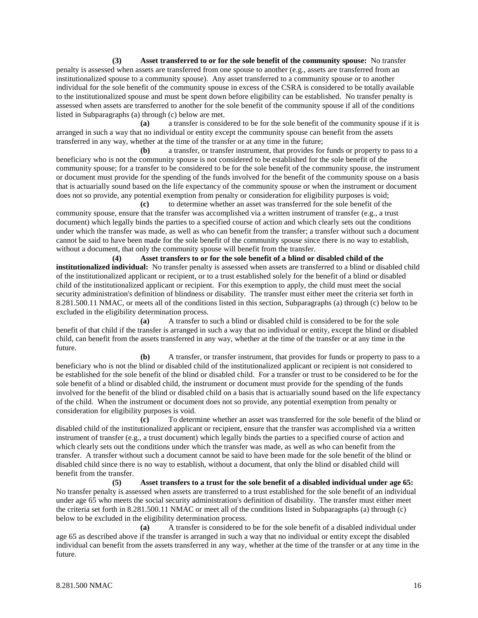**(3) Asset transferred to or for the sole benefit of the community spouse:** No transfer penalty is assessed when assets are transferred from one spouse to another (e.g., assets are transferred from an institutionalized spouse to a community spouse). Any asset transferred to a community spouse or to another individual for the sole benefit of the community spouse in excess of the CSRA is considered to be totally available to the institutionalized spouse and must be spent down before eligibility can be established. No transfer penalty is assessed when assets are transferred to another for the sole benefit of the community spouse if all of the conditions listed in Subparagraphs (a) through (c) below are met.

**(a)** a transfer is considered to be for the sole benefit of the community spouse if it is arranged in such a way that no individual or entity except the community spouse can benefit from the assets transferred in any way, whether at the time of the transfer or at any time in the future;

**(b)** a transfer, or transfer instrument, that provides for funds or property to pass to a beneficiary who is not the community spouse is not considered to be established for the sole benefit of the community spouse; for a transfer to be considered to be for the sole benefit of the community spouse, the instrument or document must provide for the spending of the funds involved for the benefit of the community spouse on a basis that is actuarially sound based on the life expectancy of the community spouse or when the instrument or document does not so provide, any potential exemption from penalty or consideration for eligibility purposes is void;

**(c)** to determine whether an asset was transferred for the sole benefit of the community spouse, ensure that the transfer was accomplished via a written instrument of transfer (e.g., a trust document) which legally binds the parties to a specified course of action and which clearly sets out the conditions under which the transfer was made, as well as who can benefit from the transfer; a transfer without such a document cannot be said to have been made for the sole benefit of the community spouse since there is no way to establish, without a document, that only the community spouse will benefit from the transfer.

**(4) Asset transfers to or for the sole benefit of a blind or disabled child of the institutionalized individual:** No transfer penalty is assessed when assets are transferred to a blind or disabled child of the institutionalized applicant or recipient, or to a trust established solely for the benefit of a blind or disabled child of the institutionalized applicant or recipient. For this exemption to apply, the child must meet the social security administration's definition of blindness or disability. The transfer must either meet the criteria set forth in 8.281.500.11 NMAC, or meets all of the conditions listed in this section, Subparagraphs (a) through (c) below to be excluded in the eligibility determination process.

**(a)** A transfer to such a blind or disabled child is considered to be for the sole benefit of that child if the transfer is arranged in such a way that no individual or entity, except the blind or disabled child, can benefit from the assets transferred in any way, whether at the time of the transfer or at any time in the future.

**(b)** A transfer, or transfer instrument, that provides for funds or property to pass to a beneficiary who is not the blind or disabled child of the institutionalized applicant or recipient is not considered to be established for the sole benefit of the blind or disabled child. For a transfer or trust to be considered to be for the sole benefit of a blind or disabled child, the instrument or document must provide for the spending of the funds involved for the benefit of the blind or disabled child on a basis that is actuarially sound based on the life expectancy of the child. When the instrument or document does not so provide, any potential exemption from penalty or consideration for eligibility purposes is void.

**(c)** To determine whether an asset was transferred for the sole benefit of the blind or disabled child of the institutionalized applicant or recipient, ensure that the transfer was accomplished via a written instrument of transfer (e.g., a trust document) which legally binds the parties to a specified course of action and which clearly sets out the conditions under which the transfer was made, as well as who can benefit from the transfer. A transfer without such a document cannot be said to have been made for the sole benefit of the blind or disabled child since there is no way to establish, without a document, that only the blind or disabled child will benefit from the transfer.

**(5) Asset transfers to a trust for the sole benefit of a disabled individual under age 65:** No transfer penalty is assessed when assets are transferred to a trust established for the sole benefit of an individual under age 65 who meets the social security administration's definition of disability. The transfer must either meet the criteria set forth in 8.281.500.11 NMAC or meet all of the conditions listed in Subparagraphs (a) through (c) below to be excluded in the eligibility determination process.

**(a)** A transfer is considered to be for the sole benefit of a disabled individual under age 65 as described above if the transfer is arranged in such a way that no individual or entity except the disabled individual can benefit from the assets transferred in any way, whether at the time of the transfer or at any time in the future.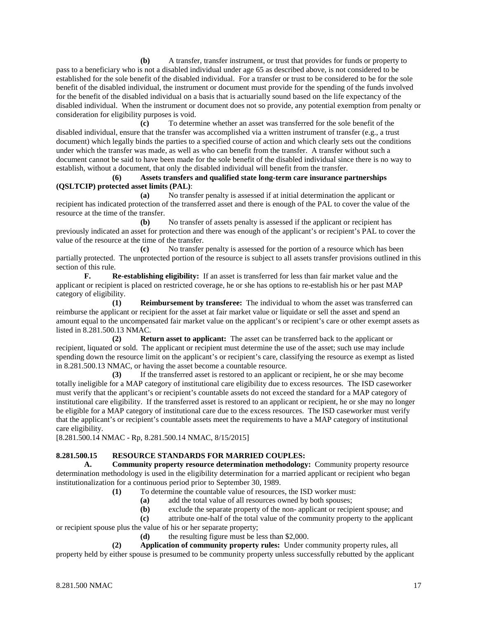**(b)** A transfer, transfer instrument, or trust that provides for funds or property to pass to a beneficiary who is not a disabled individual under age 65 as described above, is not considered to be established for the sole benefit of the disabled individual. For a transfer or trust to be considered to be for the sole benefit of the disabled individual, the instrument or document must provide for the spending of the funds involved for the benefit of the disabled individual on a basis that is actuarially sound based on the life expectancy of the disabled individual. When the instrument or document does not so provide, any potential exemption from penalty or consideration for eligibility purposes is void.

**(c)** To determine whether an asset was transferred for the sole benefit of the disabled individual, ensure that the transfer was accomplished via a written instrument of transfer (e.g., a trust document) which legally binds the parties to a specified course of action and which clearly sets out the conditions under which the transfer was made, as well as who can benefit from the transfer. A transfer without such a document cannot be said to have been made for the sole benefit of the disabled individual since there is no way to establish, without a document, that only the disabled individual will benefit from the transfer.

#### **(6) Assets transfers and qualified state long-term care insurance partnerships (QSLTCIP) protected asset limits (PAL)**:

**(a)** No transfer penalty is assessed if at initial determination the applicant or recipient has indicated protection of the transferred asset and there is enough of the PAL to cover the value of the resource at the time of the transfer.

**(b)** No transfer of assets penalty is assessed if the applicant or recipient has previously indicated an asset for protection and there was enough of the applicant's or recipient's PAL to cover the value of the resource at the time of the transfer.

**(c)** No transfer penalty is assessed for the portion of a resource which has been partially protected. The unprotected portion of the resource is subject to all assets transfer provisions outlined in this section of this rule.

**F. Re-establishing eligibility:** If an asset is transferred for less than fair market value and the applicant or recipient is placed on restricted coverage, he or she has options to re-establish his or her past MAP category of eligibility.

**(1) Reimbursement by transferee:** The individual to whom the asset was transferred can reimburse the applicant or recipient for the asset at fair market value or liquidate or sell the asset and spend an amount equal to the uncompensated fair market value on the applicant's or recipient's care or other exempt assets as listed in 8.281.500.13 NMAC.

**(2) Return asset to applicant:** The asset can be transferred back to the applicant or recipient, liquated or sold. The applicant or recipient must determine the use of the asset; such use may include spending down the resource limit on the applicant's or recipient's care, classifying the resource as exempt as listed in 8.281.500.13 NMAC, or having the asset become a countable resource.

**(3)** If the transferred asset is restored to an applicant or recipient, he or she may become totally ineligible for a MAP category of institutional care eligibility due to excess resources. The ISD caseworker must verify that the applicant's or recipient's countable assets do not exceed the standard for a MAP category of institutional care eligibility. If the transferred asset is restored to an applicant or recipient, he or she may no longer be eligible for a MAP category of institutional care due to the excess resources. The ISD caseworker must verify that the applicant's or recipient's countable assets meet the requirements to have a MAP category of institutional care eligibility.

[8.281.500.14 NMAC - Rp, 8.281.500.14 NMAC, 8/15/2015]

# **8.281.500.15 RESOURCE STANDARDS FOR MARRIED COUPLES:**

**A. Community property resource determination methodology:** Community property resource determination methodology is used in the eligibility determination for a married applicant or recipient who began institutionalization for a continuous period prior to September 30, 1989.

**(1)** To determine the countable value of resources, the ISD worker must:

- **(a)** add the total value of all resources owned by both spouses;
- **(b)** exclude the separate property of the non- applicant or recipient spouse; and

**(c)** attribute one-half of the total value of the community property to the applicant

or recipient spouse plus the value of his or her separate property;

**(d)** the resulting figure must be less than \$2,000.

**(2) Application of community property rules:** Under community property rules, all property held by either spouse is presumed to be community property unless successfully rebutted by the applicant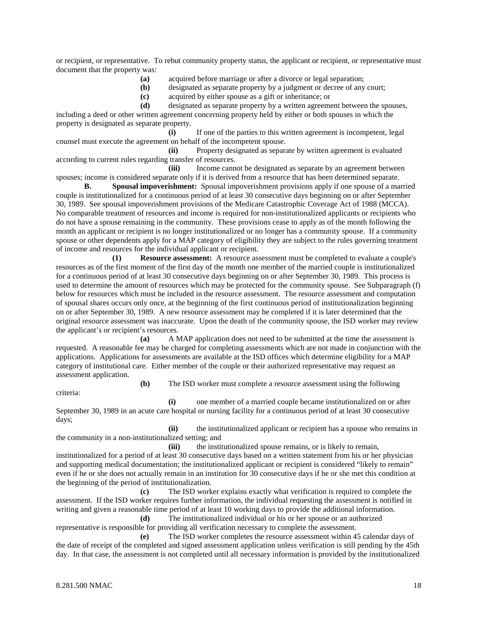or recipient, or representative. To rebut community property status, the applicant or recipient, or representative must document that the property was:

**(a)** acquired before marriage or after a divorce or legal separation;

**(b)** designated as separate property by a judgment or decree of any court;

**(c)** acquired by either spouse as a gift or inheritance; or

**(d)** designated as separate property by a written agreement between the spouses, including a deed or other written agreement concerning property held by either or both spouses in which the property is designated as separate property.

**(i)** If one of the parties to this written agreement is incompetent, legal counsel must execute the agreement on behalf of the incompetent spouse.

**(ii)** Property designated as separate by written agreement is evaluated according to current rules regarding transfer of resources.

**(iii)** Income cannot be designated as separate by an agreement between spouses; income is considered separate only if it is derived from a resource that has been determined separate.

**B. Spousal impoverishment:** Spousal impoverishment provisions apply if one spouse of a married couple is institutionalized for a continuous period of at least 30 consecutive days beginning on or after September 30, 1989. See spousal impoverishment provisions of the Medicare Catastrophic Coverage Act of 1988 (MCCA). No comparable treatment of resources and income is required for non-institutionalized applicants or recipients who do not have a spouse remaining in the community. These provisions cease to apply as of the month following the month an applicant or recipient is no longer institutionalized or no longer has a community spouse. If a community spouse or other dependents apply for a MAP category of eligibility they are subject to the rules governing treatment of income and resources for the individual applicant or recipient.

**(1) Resource assessment:** A resource assessment must be completed to evaluate a couple's resources as of the first moment of the first day of the month one member of the married couple is institutionalized for a continuous period of at least 30 consecutive days beginning on or after September 30, 1989. This process is used to determine the amount of resources which may be protected for the community spouse. See Subparagraph (f) below for resources which must be included in the resource assessment. The resource assessment and computation of spousal shares occurs only once, at the beginning of the first continuous period of institutionalization beginning on or after September 30, 1989. A new resource assessment may be completed if it is later determined that the original resource assessment was inaccurate. Upon the death of the community spouse, the ISD worker may review the applicant's or recipient's resources.

**(a)** A MAP application does not need to be submitted at the time the assessment is requested. A reasonable fee may be charged for completing assessments which are not made in conjunction with the applications. Applications for assessments are available at the ISD offices which determine eligibility for a MAP category of institutional care. Either member of the couple or their authorized representative may request an assessment application.

criteria:

**(b)** The ISD worker must complete a resource assessment using the following

**(i)** one member of a married couple became institutionalized on or after September 30, 1989 in an acute care hospital or nursing facility for a continuous period of at least 30 consecutive days;

**(ii)** the institutionalized applicant or recipient has a spouse who remains in the community in a non-institutionalized setting; and

**(iii)** the institutionalized spouse remains, or is likely to remain, institutionalized for a period of at least 30 consecutive days based on a written statement from his or her physician and supporting medical documentation; the institutionalized applicant or recipient is considered "likely to remain" even if he or she does not actually remain in an institution for 30 consecutive days if he or she met this condition at the beginning of the period of institutionalization.

**(c)** The ISD worker explains exactly what verification is required to complete the assessment. If the ISD worker requires further information, the individual requesting the assessment is notified in writing and given a reasonable time period of at least 10 working days to provide the additional information.

**(d)** The institutionalized individual or his or her spouse or an authorized representative is responsible for providing all verification necessary to complete the assessment.

**(e)** The ISD worker completes the resource assessment within 45 calendar days of the date of receipt of the completed and signed assessment application unless verification is still pending by the 45th day. In that case, the assessment is not completed until all necessary information is provided by the institutionalized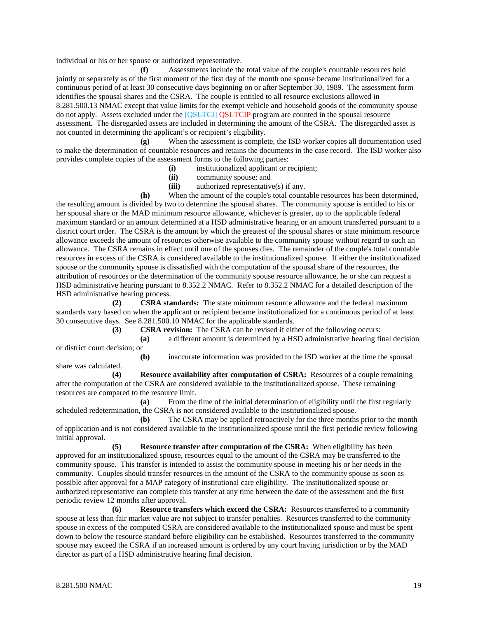individual or his or her spouse or authorized representative.

**(f)** Assessments include the total value of the couple's countable resources held jointly or separately as of the first moment of the first day of the month one spouse became institutionalized for a continuous period of at least 30 consecutive days beginning on or after September 30, 1989. The assessment form identifies the spousal shares and the CSRA. The couple is entitled to all resource exclusions allowed in 8.281.500.13 NMAC except that value limits for the exempt vehicle and household goods of the community spouse do not apply. Assets excluded under the [QSLTCI] QSLTCIP program are counted in the spousal resource assessment. The disregarded assets are included in determining the amount of the CSRA. The disregarded asset is not counted in determining the applicant's or recipient's eligibility.

**(g)** When the assessment is complete, the ISD worker copies all documentation used to make the determination of countable resources and retains the documents in the case record. The ISD worker also provides complete copies of the assessment forms to the following parties:

- **(i)** institutionalized applicant or recipient;
- **(ii)** community spouse; and
- **(iii)** authorized representative(s) if any.

**(h)** When the amount of the couple's total countable resources has been determined, the resulting amount is divided by two to determine the spousal shares. The community spouse is entitled to his or her spousal share or the MAD minimum resource allowance, whichever is greater, up to the applicable federal maximum standard or an amount determined at a HSD administrative hearing or an amount transferred pursuant to a district court order. The CSRA is the amount by which the greatest of the spousal shares or state minimum resource allowance exceeds the amount of resources otherwise available to the community spouse without regard to such an allowance. The CSRA remains in effect until one of the spouses dies. The remainder of the couple's total countable resources in excess of the CSRA is considered available to the institutionalized spouse. If either the institutionalized spouse or the community spouse is dissatisfied with the computation of the spousal share of the resources, the attribution of resources or the determination of the community spouse resource allowance, he or she can request a HSD administrative hearing pursuant to 8.352.2 NMAC. Refer to 8.352.2 NMAC for a detailed description of the HSD administrative hearing process.

**(2) CSRA standards:** The state minimum resource allowance and the federal maximum standards vary based on when the applicant or recipient became institutionalized for a continuous period of at least 30 consecutive days. See 8.281.500.10 NMAC for the applicable standards.

**(3) CSRA revision:** The CSRA can be revised if either of the following occurs:

**(a)** a different amount is determined by a HSD administrative hearing final decision or district court decision; or **(b)** inaccurate information was provided to the ISD worker at the time the spousal

share was calculated.

**(4) Resource availability after computation of CSRA:** Resources of a couple remaining after the computation of the CSRA are considered available to the institutionalized spouse. These remaining resources are compared to the resource limit.

**(a)** From the time of the initial determination of eligibility until the first regularly scheduled redetermination, the CSRA is not considered available to the institutionalized spouse.

**(b)** The CSRA may be applied retroactively for the three months prior to the month of application and is not considered available to the institutionalized spouse until the first periodic review following initial approval.

**(5) Resource transfer after computation of the CSRA:** When eligibility has been approved for an institutionalized spouse, resources equal to the amount of the CSRA may be transferred to the community spouse. This transfer is intended to assist the community spouse in meeting his or her needs in the community. Couples should transfer resources in the amount of the CSRA to the community spouse as soon as possible after approval for a MAP category of institutional care eligibility. The institutionalized spouse or authorized representative can complete this transfer at any time between the date of the assessment and the first periodic review 12 months after approval.

**(6) Resource transfers which exceed the CSRA:** Resources transferred to a community spouse at less than fair market value are not subject to transfer penalties. Resources transferred to the community spouse in excess of the computed CSRA are considered available to the institutionalized spouse and must be spent down to below the resource standard before eligibility can be established. Resources transferred to the community spouse may exceed the CSRA if an increased amount is ordered by any court having jurisdiction or by the MAD director as part of a HSD administrative hearing final decision.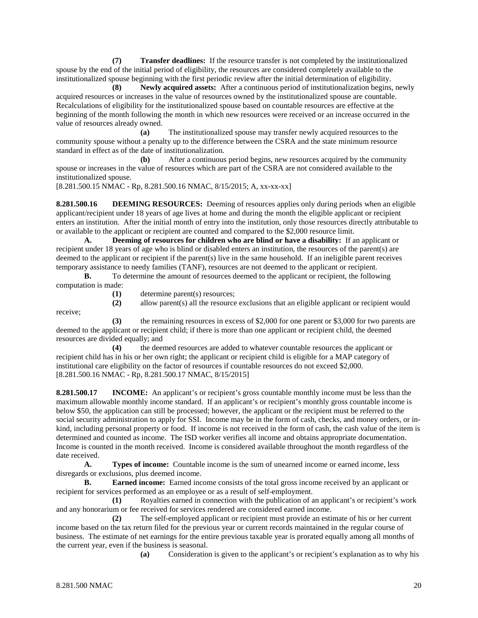**(7) Transfer deadlines:** If the resource transfer is not completed by the institutionalized spouse by the end of the initial period of eligibility, the resources are considered completely available to the institutionalized spouse beginning with the first periodic review after the initial determination of eligibility.

**(8) Newly acquired assets:** After a continuous period of institutionalization begins, newly acquired resources or increases in the value of resources owned by the institutionalized spouse are countable. Recalculations of eligibility for the institutionalized spouse based on countable resources are effective at the beginning of the month following the month in which new resources were received or an increase occurred in the value of resources already owned.

**(a)** The institutionalized spouse may transfer newly acquired resources to the community spouse without a penalty up to the difference between the CSRA and the state minimum resource standard in effect as of the date of institutionalization.

**(b)** After a continuous period begins, new resources acquired by the community spouse or increases in the value of resources which are part of the CSRA are not considered available to the institutionalized spouse.

[8.281.500.15 NMAC - Rp, 8.281.500.16 NMAC, 8/15/2015; A, xx-xx-xx]

**8.281.500.16 DEEMING RESOURCES:** Deeming of resources applies only during periods when an eligible applicant/recipient under 18 years of age lives at home and during the month the eligible applicant or recipient enters an institution. After the initial month of entry into the institution, only those resources directly attributable to or available to the applicant or recipient are counted and compared to the \$2,000 resource limit.

**A. Deeming of resources for children who are blind or have a disability:** If an applicant or recipient under 18 years of age who is blind or disabled enters an institution, the resources of the parent(s) are deemed to the applicant or recipient if the parent(s) live in the same household. If an ineligible parent receives temporary assistance to needy families (TANF), resources are not deemed to the applicant or recipient.

**B.** To determine the amount of resources deemed to the applicant or recipient, the following computation is made:

receive;

**(1)** determine parent(s) resources;

**(2)** allow parent(s) all the resource exclusions that an eligible applicant or recipient would

**(3)** the remaining resources in excess of \$2,000 for one parent or \$3,000 for two parents are deemed to the applicant or recipient child; if there is more than one applicant or recipient child, the deemed resources are divided equally; and

**(4)** the deemed resources are added to whatever countable resources the applicant or recipient child has in his or her own right; the applicant or recipient child is eligible for a MAP category of institutional care eligibility on the factor of resources if countable resources do not exceed \$2,000. [8.281.500.16 NMAC - Rp, 8.281.500.17 NMAC, 8/15/2015]

**8.281.500.17 INCOME:** An applicant's or recipient's gross countable monthly income must be less than the maximum allowable monthly income standard. If an applicant's or recipient's monthly gross countable income is below \$50, the application can still be processed; however, the applicant or the recipient must be referred to the social security administration to apply for SSI. Income may be in the form of cash, checks, and money orders, or inkind, including personal property or food. If income is not received in the form of cash, the cash value of the item is determined and counted as income. The ISD worker verifies all income and obtains appropriate documentation. Income is counted in the month received. Income is considered available throughout the month regardless of the date received.

**A. Types of income:** Countable income is the sum of unearned income or earned income, less disregards or exclusions, plus deemed income.

**B. Earned income:** Earned income consists of the total gross income received by an applicant or recipient for services performed as an employee or as a result of self-employment.

**(1)** Royalties earned in connection with the publication of an applicant's or recipient's work and any honorarium or fee received for services rendered are considered earned income.

**(2)** The self-employed applicant or recipient must provide an estimate of his or her current income based on the tax return filed for the previous year or current records maintained in the regular course of business. The estimate of net earnings for the entire previous taxable year is prorated equally among all months of the current year, even if the business is seasonal.

**(a)** Consideration is given to the applicant's or recipient's explanation as to why his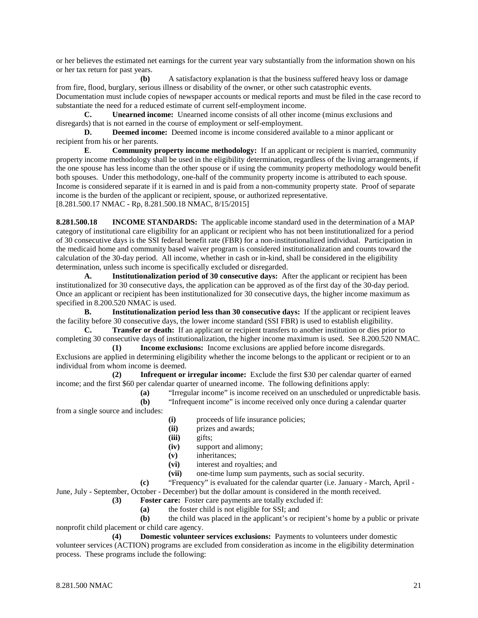or her believes the estimated net earnings for the current year vary substantially from the information shown on his or her tax return for past years.

**(b)** A satisfactory explanation is that the business suffered heavy loss or damage from fire, flood, burglary, serious illness or disability of the owner, or other such catastrophic events. Documentation must include copies of newspaper accounts or medical reports and must be filed in the case record to substantiate the need for a reduced estimate of current self-employment income.

**C. Unearned income:** Unearned income consists of all other income (minus exclusions and disregards) that is not earned in the course of employment or self-employment.

**D. Deemed income:** Deemed income is income considered available to a minor applicant or recipient from his or her parents.

**E**. **Community property income methodology:** If an applicant or recipient is married, community property income methodology shall be used in the eligibility determination, regardless of the living arrangements, if the one spouse has less income than the other spouse or if using the community property methodology would benefit both spouses. Under this methodology, one-half of the community property income is attributed to each spouse. Income is considered separate if it is earned in and is paid from a non-community property state. Proof of separate income is the burden of the applicant or recipient, spouse, or authorized representative. [8.281.500.17 NMAC - Rp, 8.281.500.18 NMAC, 8/15/2015]

**8.281.500.18 INCOME STANDARDS:** The applicable income standard used in the determination of a MAP category of institutional care eligibility for an applicant or recipient who has not been institutionalized for a period of 30 consecutive days is the SSI federal benefit rate (FBR) for a non-institutionalized individual. Participation in the medicaid home and community based waiver program is considered institutionalization and counts toward the calculation of the 30-day period. All income, whether in cash or in-kind, shall be considered in the eligibility determination, unless such income is specifically excluded or disregarded.

**A. Institutionalization period of 30 consecutive days:** After the applicant or recipient has been institutionalized for 30 consecutive days, the application can be approved as of the first day of the 30-day period. Once an applicant or recipient has been institutionalized for 30 consecutive days, the higher income maximum as specified in 8.200.520 NMAC is used.

**B. Institutionalization period less than 30 consecutive days:** If the applicant or recipient leaves the facility before 30 consecutive days, the lower income standard (SSI FBR) is used to establish eligibility.

**C. Transfer or death:** If an applicant or recipient transfers to another institution or dies prior to completing 30 consecutive days of institutionalization, the higher income maximum is used. See 8.200.520 NMAC. **(1) Income exclusions:** Income exclusions are applied before income disregards.

Exclusions are applied in determining eligibility whether the income belongs to the applicant or recipient or to an individual from whom income is deemed.

**(2) Infrequent or irregular income:** Exclude the first \$30 per calendar quarter of earned income; and the first \$60 per calendar quarter of unearned income. The following definitions apply:

**(a)** "Irregular income" is income received on an unscheduled or unpredictable basis. **(b)** "Infrequent income" is income received only once during a calendar quarter from a single source and includes:

- **(i)** proceeds of life insurance policies;
- **(ii)** prizes and awards;
- (iii) gifts;<br>(iv) suppo
- support and alimony;
- **(v)** inheritances;
- **(vi)** interest and royalties; and
- **(vii)** one-time lump sum payments, such as social security.

**(c)** "Frequency" is evaluated for the calendar quarter (i.e. January - March, April -

June, July - September, October - December) but the dollar amount is considered in the month received.

- **(3) Foster care:** Foster care payments are totally excluded if:
	- **(a)** the foster child is not eligible for SSI; and

**(b)** the child was placed in the applicant's or recipient's home by a public or private nonprofit child placement or child care agency.

**(4) Domestic volunteer services exclusions:** Payments to volunteers under domestic volunteer services (ACTION) programs are excluded from consideration as income in the eligibility determination process. These programs include the following: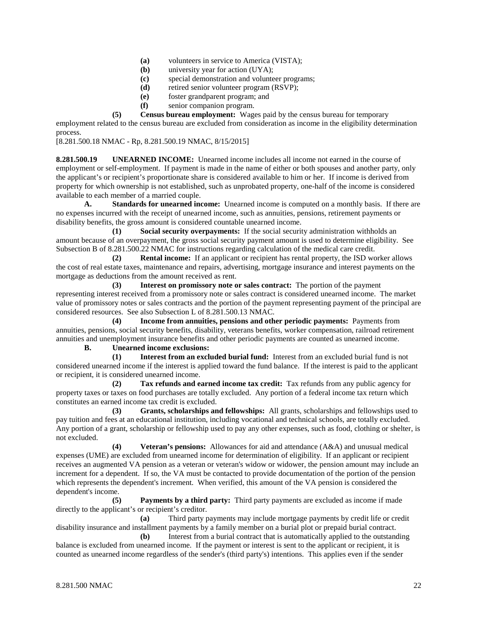- **(a)** volunteers in service to America (VISTA);
- **(b)** university year for action (UYA);
- **(c)** special demonstration and volunteer programs;
- **(d)** retired senior volunteer program (RSVP);
- **(e)** foster grandparent program; and
- **(f)** senior companion program.

**(5) Census bureau employment:** Wages paid by the census bureau for temporary employment related to the census bureau are excluded from consideration as income in the eligibility determination process.

[8.281.500.18 NMAC - Rp, 8.281.500.19 NMAC, 8/15/2015]

**8.281.500.19 UNEARNED INCOME:** Unearned income includes all income not earned in the course of employment or self-employment. If payment is made in the name of either or both spouses and another party, only the applicant's or recipient's proportionate share is considered available to him or her. If income is derived from property for which ownership is not established, such as unprobated property, one-half of the income is considered available to each member of a married couple.

**A. Standards for unearned income:** Unearned income is computed on a monthly basis. If there are no expenses incurred with the receipt of unearned income, such as annuities, pensions, retirement payments or disability benefits, the gross amount is considered countable unearned income.

**(1) Social security overpayments:** If the social security administration withholds an amount because of an overpayment, the gross social security payment amount is used to determine eligibility. See Subsection B of 8.281.500.22 NMAC for instructions regarding calculation of the medical care credit.

**(2) Rental income:** If an applicant or recipient has rental property, the ISD worker allows the cost of real estate taxes, maintenance and repairs, advertising, mortgage insurance and interest payments on the mortgage as deductions from the amount received as rent.

**(3) Interest on promissory note or sales contract:** The portion of the payment representing interest received from a promissory note or sales contract is considered unearned income. The market value of promissory notes or sales contracts and the portion of the payment representing payment of the principal are considered resources. See also Subsection L of 8.281.500.13 NMAC.

**(4) Income from annuities, pensions and other periodic payments:** Payments from annuities, pensions, social security benefits, disability, veterans benefits, worker compensation, railroad retirement annuities and unemployment insurance benefits and other periodic payments are counted as unearned income.

**B. Unearned income exclusions:**

**(1) Interest from an excluded burial fund:** Interest from an excluded burial fund is not considered unearned income if the interest is applied toward the fund balance. If the interest is paid to the applicant or recipient, it is considered unearned income.

**(2) Tax refunds and earned income tax credit:** Tax refunds from any public agency for property taxes or taxes on food purchases are totally excluded. Any portion of a federal income tax return which constitutes an earned income tax credit is excluded.

**(3) Grants, scholarships and fellowships:** All grants, scholarships and fellowships used to pay tuition and fees at an educational institution, including vocational and technical schools, are totally excluded. Any portion of a grant, scholarship or fellowship used to pay any other expenses, such as food, clothing or shelter, is not excluded.

**(4) Veteran's pensions:** Allowances for aid and attendance (A&A) and unusual medical expenses (UME) are excluded from unearned income for determination of eligibility. If an applicant or recipient receives an augmented VA pension as a veteran or veteran's widow or widower, the pension amount may include an increment for a dependent. If so, the VA must be contacted to provide documentation of the portion of the pension which represents the dependent's increment. When verified, this amount of the VA pension is considered the dependent's income.

**(5) Payments by a third party:** Third party payments are excluded as income if made directly to the applicant's or recipient's creditor.

**(a)** Third party payments may include mortgage payments by credit life or credit disability insurance and installment payments by a family member on a burial plot or prepaid burial contract.

**(b)** Interest from a burial contract that is automatically applied to the outstanding balance is excluded from unearned income. If the payment or interest is sent to the applicant or recipient, it is counted as unearned income regardless of the sender's (third party's) intentions. This applies even if the sender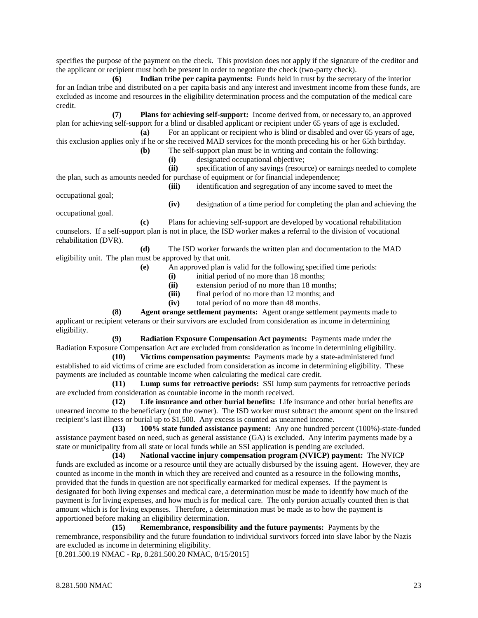specifies the purpose of the payment on the check. This provision does not apply if the signature of the creditor and the applicant or recipient must both be present in order to negotiate the check (two-party check).

**(6) Indian tribe per capita payments:** Funds held in trust by the secretary of the interior for an Indian tribe and distributed on a per capita basis and any interest and investment income from these funds, are excluded as income and resources in the eligibility determination process and the computation of the medical care credit.

**(7) Plans for achieving self-support:** Income derived from, or necessary to, an approved plan for achieving self-support for a blind or disabled applicant or recipient under 65 years of age is excluded.

**(a)** For an applicant or recipient who is blind or disabled and over 65 years of age, this exclusion applies only if he or she received MAD services for the month preceding his or her 65th birthday. **(b)** The self-support plan must be in writing and contain the following:

**(i)** designated occupational objective;

**(ii)** specification of any savings (resource) or earnings needed to complete the plan, such as amounts needed for purchase of equipment or for financial independence;

**(iii)** identification and segregation of any income saved to meet the

occupational goal;

**(iv)** designation of a time period for completing the plan and achieving the occupational goal.

**(c)** Plans for achieving self-support are developed by vocational rehabilitation counselors. If a self-support plan is not in place, the ISD worker makes a referral to the division of vocational rehabilitation (DVR).

**(d)** The ISD worker forwards the written plan and documentation to the MAD eligibility unit. The plan must be approved by that unit.

**(e)** An approved plan is valid for the following specified time periods:

**(i)** initial period of no more than 18 months;

**(ii)** extension period of no more than 18 months;

**(iii)** final period of no more than 12 months; and

**(iv)** total period of no more than 48 months.

**(8) Agent orange settlement payments:** Agent orange settlement payments made to applicant or recipient veterans or their survivors are excluded from consideration as income in determining eligibility.

**(9) Radiation Exposure Compensation Act payments:** Payments made under the Radiation Exposure Compensation Act are excluded from consideration as income in determining eligibility.

**(10) Victims compensation payments:** Payments made by a state-administered fund established to aid victims of crime are excluded from consideration as income in determining eligibility. These payments are included as countable income when calculating the medical care credit.

**(11) Lump sums for retroactive periods:** SSI lump sum payments for retroactive periods are excluded from consideration as countable income in the month received.

**(12) Life insurance and other burial benefits:** Life insurance and other burial benefits are unearned income to the beneficiary (not the owner). The ISD worker must subtract the amount spent on the insured recipient's last illness or burial up to \$1,500. Any excess is counted as unearned income.

**(13) 100% state funded assistance payment:** Any one hundred percent (100%)-state-funded assistance payment based on need, such as general assistance (GA) is excluded. Any interim payments made by a state or municipality from all state or local funds while an SSI application is pending are excluded.

**(14) National vaccine injury compensation program (NVICP) payment:** The NVICP funds are excluded as income or a resource until they are actually disbursed by the issuing agent. However, they are counted as income in the month in which they are received and counted as a resource in the following months, provided that the funds in question are not specifically earmarked for medical expenses. If the payment is designated for both living expenses and medical care, a determination must be made to identify how much of the payment is for living expenses, and how much is for medical care. The only portion actually counted then is that amount which is for living expenses. Therefore, a determination must be made as to how the payment is apportioned before making an eligibility determination.

**(15) Remembrance, responsibility and the future payments:** Payments by the remembrance, responsibility and the future foundation to individual survivors forced into slave labor by the Nazis are excluded as income in determining eligibility.

[8.281.500.19 NMAC - Rp, 8.281.500.20 NMAC, 8/15/2015]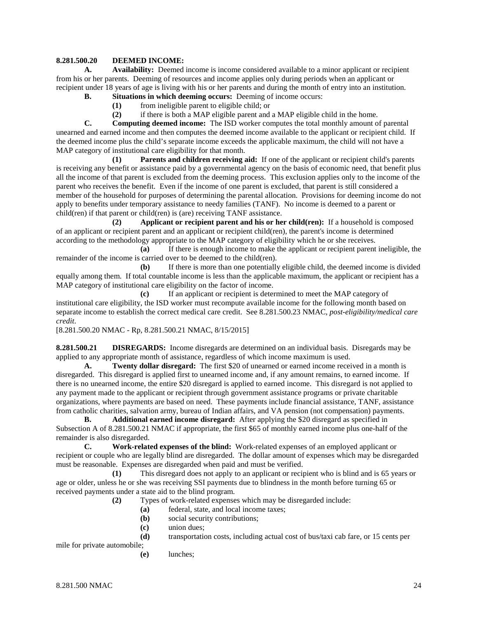### **8.281.500.20 DEEMED INCOME:**

**A. Availability:** Deemed income is income considered available to a minor applicant or recipient from his or her parents. Deeming of resources and income applies only during periods when an applicant or recipient under 18 years of age is living with his or her parents and during the month of entry into an institution.

- **B. Situations in which deeming occurs:** Deeming of income occurs:
	- **(1)** from ineligible parent to eligible child; or
	- **(2)** if there is both a MAP eligible parent and a MAP eligible child in the home.

**C. Computing deemed income:** The ISD worker computes the total monthly amount of parental unearned and earned income and then computes the deemed income available to the applicant or recipient child. If the deemed income plus the child's separate income exceeds the applicable maximum, the child will not have a MAP category of institutional care eligibility for that month.

**(1) Parents and children receiving aid:** If one of the applicant or recipient child's parents is receiving any benefit or assistance paid by a governmental agency on the basis of economic need, that benefit plus all the income of that parent is excluded from the deeming process. This exclusion applies only to the income of the parent who receives the benefit. Even if the income of one parent is excluded, that parent is still considered a member of the household for purposes of determining the parental allocation. Provisions for deeming income do not apply to benefits under temporary assistance to needy families (TANF). No income is deemed to a parent or child(ren) if that parent or child(ren) is (are) receiving TANF assistance.

**(2) Applicant or recipient parent and his or her child(ren):** If a household is composed of an applicant or recipient parent and an applicant or recipient child(ren), the parent's income is determined according to the methodology appropriate to the MAP category of eligibility which he or she receives.

**(a)** If there is enough income to make the applicant or recipient parent ineligible, the remainder of the income is carried over to be deemed to the child(ren).

**(b)** If there is more than one potentially eligible child, the deemed income is divided equally among them. If total countable income is less than the applicable maximum, the applicant or recipient has a MAP category of institutional care eligibility on the factor of income.

**(c)** If an applicant or recipient is determined to meet the MAP category of institutional care eligibility, the ISD worker must recompute available income for the following month based on separate income to establish the correct medical care credit. See 8.281.500.23 NMAC, *post-eligibility/medical care credit*.

[8.281.500.20 NMAC - Rp, 8.281.500.21 NMAC, 8/15/2015]

**8.281.500.21 DISREGARDS:** Income disregards are determined on an individual basis. Disregards may be applied to any appropriate month of assistance, regardless of which income maximum is used.

**A. Twenty dollar disregard:** The first \$20 of unearned or earned income received in a month is disregarded. This disregard is applied first to unearned income and, if any amount remains, to earned income. If there is no unearned income, the entire \$20 disregard is applied to earned income. This disregard is not applied to any payment made to the applicant or recipient through government assistance programs or private charitable organizations, where payments are based on need. These payments include financial assistance, TANF, assistance from catholic charities, salvation army, bureau of Indian affairs, and VA pension (not compensation) payments.

**B. Additional earned income disregard:** After applying the \$20 disregard as specified in Subsection A of 8.281.500.21 NMAC if appropriate, the first \$65 of monthly earned income plus one-half of the remainder is also disregarded.

**C. Work-related expenses of the blind:** Work-related expenses of an employed applicant or recipient or couple who are legally blind are disregarded. The dollar amount of expenses which may be disregarded must be reasonable. Expenses are disregarded when paid and must be verified.

**(1)** This disregard does not apply to an applicant or recipient who is blind and is 65 years or age or older, unless he or she was receiving SSI payments due to blindness in the month before turning 65 or received payments under a state aid to the blind program.

- **(2)** Types of work-related expenses which may be disregarded include:
	- **(a)** federal, state, and local income taxes;
	- **(b)** social security contributions;
	- **(c)** union dues;
	- **(d)** transportation costs, including actual cost of bus/taxi cab fare, or 15 cents per

mile for private automobile;

**(e)** lunches;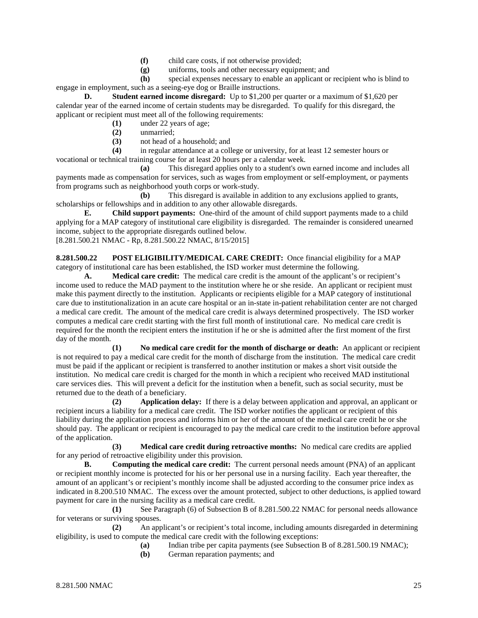- **(f)** child care costs, if not otherwise provided;
- **(g)** uniforms, tools and other necessary equipment; and

**(h)** special expenses necessary to enable an applicant or recipient who is blind to engage in employment, such as a seeing-eye dog or Braille instructions.

**D. Student earned income disregard:** Up to \$1,200 per quarter or a maximum of \$1,620 per calendar year of the earned income of certain students may be disregarded. To qualify for this disregard, the applicant or recipient must meet all of the following requirements:

- **(1)** under 22 years of age;
- **(2)** unmarried;
- **(3)** not head of a household; and

**(4)** in regular attendance at a college or university, for at least 12 semester hours or vocational or technical training course for at least 20 hours per a calendar week.

**(a)** This disregard applies only to a student's own earned income and includes all payments made as compensation for services, such as wages from employment or self-employment, or payments from programs such as neighborhood youth corps or work-study.

**(b)** This disregard is available in addition to any exclusions applied to grants, scholarships or fellowships and in addition to any other allowable disregards.

**E. Child support payments:** One-third of the amount of child support payments made to a child applying for a MAP category of institutional care eligibility is disregarded. The remainder is considered unearned income, subject to the appropriate disregards outlined below. [8.281.500.21 NMAC - Rp, 8.281.500.22 NMAC, 8/15/2015]

**8.281.500.22 POST ELIGIBILITY/MEDICAL CARE CREDIT:** Once financial eligibility for a MAP category of institutional care has been established, the ISD worker must determine the following.

**A. Medical care credit:** The medical care credit is the amount of the applicant's or recipient's income used to reduce the MAD payment to the institution where he or she reside. An applicant or recipient must make this payment directly to the institution. Applicants or recipients eligible for a MAP category of institutional care due to institutionalization in an acute care hospital or an in-state in-patient rehabilitation center are not charged a medical care credit. The amount of the medical care credit is always determined prospectively. The ISD worker computes a medical care credit starting with the first full month of institutional care. No medical care credit is required for the month the recipient enters the institution if he or she is admitted after the first moment of the first day of the month.

**(1) No medical care credit for the month of discharge or death:** An applicant or recipient is not required to pay a medical care credit for the month of discharge from the institution. The medical care credit must be paid if the applicant or recipient is transferred to another institution or makes a short visit outside the institution. No medical care credit is charged for the month in which a recipient who received MAD institutional care services dies. This will prevent a deficit for the institution when a benefit, such as social security, must be returned due to the death of a beneficiary.

**(2) Application delay:** If there is a delay between application and approval, an applicant or recipient incurs a liability for a medical care credit. The ISD worker notifies the applicant or recipient of this liability during the application process and informs him or her of the amount of the medical care credit he or she should pay. The applicant or recipient is encouraged to pay the medical care credit to the institution before approval of the application.

**(3) Medical care credit during retroactive months:** No medical care credits are applied for any period of retroactive eligibility under this provision.

**B. Computing the medical care credit:** The current personal needs amount (PNA) of an applicant or recipient monthly income is protected for his or her personal use in a nursing facility. Each year thereafter, the amount of an applicant's or recipient's monthly income shall be adjusted according to the consumer price index as indicated in 8.200.510 NMAC. The excess over the amount protected, subject to other deductions, is applied toward payment for care in the nursing facility as a medical care credit.

**(1)** See Paragraph (6) of Subsection B of 8.281.500.22 NMAC for personal needs allowance for veterans or surviving spouses.

**(2)** An applicant's or recipient's total income, including amounts disregarded in determining eligibility, is used to compute the medical care credit with the following exceptions:

- **(a)** Indian tribe per capita payments (see Subsection B of 8.281.500.19 NMAC);
- **(b)** German reparation payments; and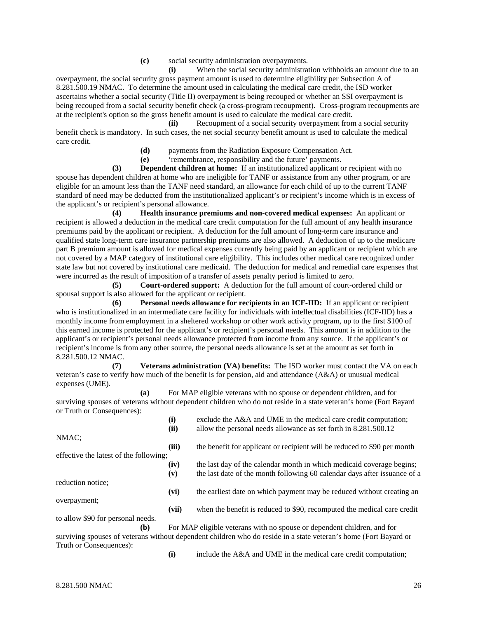**(c)** social security administration overpayments.

**(i)** When the social security administration withholds an amount due to an overpayment, the social security gross payment amount is used to determine eligibility per Subsection A of 8.281.500.19 NMAC. To determine the amount used in calculating the medical care credit, the ISD worker ascertains whether a social security (Title II) overpayment is being recouped or whether an SSI overpayment is being recouped from a social security benefit check (a cross-program recoupment). Cross-program recoupments are at the recipient's option so the gross benefit amount is used to calculate the medical care credit.

**(ii)** Recoupment of a social security overpayment from a social security benefit check is mandatory. In such cases, the net social security benefit amount is used to calculate the medical care credit.

**(d)** payments from the Radiation Exposure Compensation Act.

**(e)** 'remembrance, responsibility and the future' payments.

**(3) Dependent children at home:** If an institutionalized applicant or recipient with no spouse has dependent children at home who are ineligible for TANF or assistance from any other program, or are eligible for an amount less than the TANF need standard, an allowance for each child of up to the current TANF standard of need may be deducted from the institutionalized applicant's or recipient's income which is in excess of the applicant's or recipient's personal allowance.

**(4) Health insurance premiums and non-covered medical expenses:** An applicant or recipient is allowed a deduction in the medical care credit computation for the full amount of any health insurance premiums paid by the applicant or recipient. A deduction for the full amount of long-term care insurance and qualified state long-term care insurance partnership premiums are also allowed. A deduction of up to the medicare part B premium amount is allowed for medical expenses currently being paid by an applicant or recipient which are not covered by a MAP category of institutional care eligibility. This includes other medical care recognized under state law but not covered by institutional care medicaid. The deduction for medical and remedial care expenses that were incurred as the result of imposition of a transfer of assets penalty period is limited to zero.

**(5) Court-ordered support:** A deduction for the full amount of court-ordered child or spousal support is also allowed for the applicant or recipient.

**(6) Personal needs allowance for recipients in an ICF-IID:** If an applicant or recipient who is institutionalized in an intermediate care facility for individuals with intellectual disabilities (ICF-IID) has a monthly income from employment in a sheltered workshop or other work activity program, up to the first \$100 of this earned income is protected for the applicant's or recipient's personal needs. This amount is in addition to the applicant's or recipient's personal needs allowance protected from income from any source. If the applicant's or recipient's income is from any other source, the personal needs allowance is set at the amount as set forth in 8.281.500.12 NMAC.

**(7) Veterans administration (VA) benefits:** The ISD worker must contact the VA on each veteran's case to verify how much of the benefit is for pension, aid and attendance (A&A) or unusual medical expenses (UME).

**(a)** For MAP eligible veterans with no spouse or dependent children, and for surviving spouses of veterans without dependent children who do not reside in a state veteran's home (Fort Bayard or Truth or Consequences):

|                                        | (i)   | exclude the A&A and UME in the medical care credit computation;                                                  |
|----------------------------------------|-------|------------------------------------------------------------------------------------------------------------------|
|                                        | (ii)  | allow the personal needs allowance as set forth in 8.281.500.12                                                  |
| NMAC;                                  |       |                                                                                                                  |
|                                        | (iii) | the benefit for applicant or recipient will be reduced to \$90 per month                                         |
| effective the latest of the following. |       |                                                                                                                  |
|                                        | (iv)  | the last day of the calendar month in which medicaid coverage begins;                                            |
|                                        | (v)   | the last date of the month following 60 calendar days after issuance of a                                        |
| reduction notice;                      |       |                                                                                                                  |
|                                        | (vi)  | the earliest date on which payment may be reduced without creating an                                            |
| overpayment;                           |       |                                                                                                                  |
|                                        | (vii) | when the benefit is reduced to \$90, recomputed the medical care credit                                          |
| to allow \$90 for personal needs.      |       |                                                                                                                  |
| (b)                                    |       | For MAP eligible veterans with no spouse or dependent children, and for                                          |
|                                        |       | surviving spouses of veterans without dependent children who do reside in a state veteran's home (Fort Bayard or |
| Truth or Consequences):                |       |                                                                                                                  |

**(i)** include the A&A and UME in the medical care credit computation;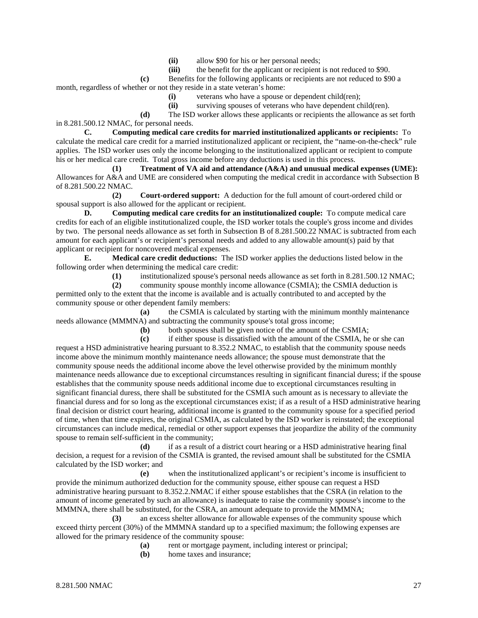(ii) allow \$90 for his or her personal needs;<br>(iii) the benefit for the applicant or recipient

the benefit for the applicant or recipient is not reduced to \$90.

**(c)** Benefits for the following applicants or recipients are not reduced to \$90 a

month, regardless of whether or not they reside in a state veteran's home:

**(i)** veterans who have a spouse or dependent child(ren);

**(ii)** surviving spouses of veterans who have dependent child(ren).

**(d)** The ISD worker allows these applicants or recipients the allowance as set forth in 8.281.500.12 NMAC, for personal needs.

**C. Computing medical care credits for married institutionalized applicants or recipients:** To calculate the medical care credit for a married institutionalized applicant or recipient, the "name-on-the-check" rule applies. The ISD worker uses only the income belonging to the institutionalized applicant or recipient to compute his or her medical care credit. Total gross income before any deductions is used in this process.

**(1) Treatment of VA aid and attendance (A&A) and unusual medical expenses (UME):** Allowances for A&A and UME are considered when computing the medical credit in accordance with Subsection B of 8.281.500.22 NMAC.

**(2) Court-ordered support:** A deduction for the full amount of court-ordered child or spousal support is also allowed for the applicant or recipient.

**D. Computing medical care credits for an institutionalized couple:** To compute medical care credits for each of an eligible institutionalized couple, the ISD worker totals the couple's gross income and divides by two. The personal needs allowance as set forth in Subsection B of 8.281.500.22 NMAC is subtracted from each amount for each applicant's or recipient's personal needs and added to any allowable amount(s) paid by that applicant or recipient for noncovered medical expenses.

**E. Medical care credit deductions:** The ISD worker applies the deductions listed below in the following order when determining the medical care credit:

**(1)** institutionalized spouse's personal needs allowance as set forth in 8.281.500.12 NMAC;

**(2)** community spouse monthly income allowance (CSMIA); the CSMIA deduction is permitted only to the extent that the income is available and is actually contributed to and accepted by the community spouse or other dependent family members:

**(a)** the CSMIA is calculated by starting with the minimum monthly maintenance needs allowance (MMMNA) and subtracting the community spouse's total gross income;

**(b)** both spouses shall be given notice of the amount of the CSMIA;

**(c)** if either spouse is dissatisfied with the amount of the CSMIA, he or she can request a HSD administrative hearing pursuant to 8.352.2 NMAC, to establish that the community spouse needs income above the minimum monthly maintenance needs allowance; the spouse must demonstrate that the community spouse needs the additional income above the level otherwise provided by the minimum monthly maintenance needs allowance due to exceptional circumstances resulting in significant financial duress; if the spouse establishes that the community spouse needs additional income due to exceptional circumstances resulting in significant financial duress, there shall be substituted for the CSMIA such amount as is necessary to alleviate the financial duress and for so long as the exceptional circumstances exist; if as a result of a HSD administrative hearing final decision or district court hearing, additional income is granted to the community spouse for a specified period of time, when that time expires, the original CSMIA, as calculated by the ISD worker is reinstated; the exceptional circumstances can include medical, remedial or other support expenses that jeopardize the ability of the community spouse to remain self-sufficient in the community;

**(d)** if as a result of a district court hearing or a HSD administrative hearing final decision, a request for a revision of the CSMIA is granted, the revised amount shall be substituted for the CSMIA calculated by the ISD worker; and

**(e)** when the institutionalized applicant's or recipient's income is insufficient to provide the minimum authorized deduction for the community spouse, either spouse can request a HSD administrative hearing pursuant to 8.352.2.NMAC if either spouse establishes that the CSRA (in relation to the amount of income generated by such an allowance) is inadequate to raise the community spouse's income to the MMMNA, there shall be substituted, for the CSRA, an amount adequate to provide the MMMNA;

**(3)** an excess shelter allowance for allowable expenses of the community spouse which exceed thirty percent (30%) of the MMMNA standard up to a specified maximum; the following expenses are allowed for the primary residence of the community spouse:

**(a)** rent or mortgage payment, including interest or principal;

**(b)** home taxes and insurance;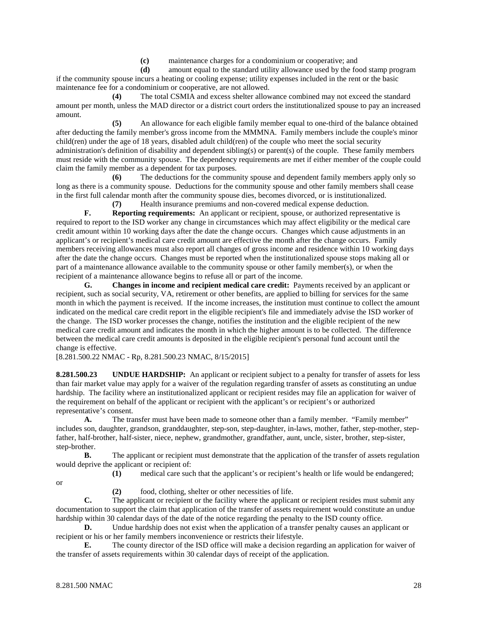**(c)** maintenance charges for a condominium or cooperative; and

**(d)** amount equal to the standard utility allowance used by the food stamp program if the community spouse incurs a heating or cooling expense; utility expenses included in the rent or the basic maintenance fee for a condominium or cooperative, are not allowed.

**(4)** The total CSMIA and excess shelter allowance combined may not exceed the standard amount per month, unless the MAD director or a district court orders the institutionalized spouse to pay an increased amount.

**(5)** An allowance for each eligible family member equal to one-third of the balance obtained after deducting the family member's gross income from the MMMNA. Family members include the couple's minor child(ren) under the age of 18 years, disabled adult child(ren) of the couple who meet the social security administration's definition of disability and dependent sibling(s) or parent(s) of the couple. These family members must reside with the community spouse. The dependency requirements are met if either member of the couple could claim the family member as a dependent for tax purposes.

**(6)** The deductions for the community spouse and dependent family members apply only so long as there is a community spouse. Deductions for the community spouse and other family members shall cease in the first full calendar month after the community spouse dies, becomes divorced, or is institutionalized.

**(7)** Health insurance premiums and non-covered medical expense deduction.

**F. Reporting requirements:** An applicant or recipient, spouse, or authorized representative is required to report to the ISD worker any change in circumstances which may affect eligibility or the medical care credit amount within 10 working days after the date the change occurs. Changes which cause adjustments in an applicant's or recipient's medical care credit amount are effective the month after the change occurs. Family members receiving allowances must also report all changes of gross income and residence within 10 working days after the date the change occurs. Changes must be reported when the institutionalized spouse stops making all or part of a maintenance allowance available to the community spouse or other family member(s), or when the recipient of a maintenance allowance begins to refuse all or part of the income.

**G. Changes in income and recipient medical care credit:** Payments received by an applicant or recipient, such as social security, VA, retirement or other benefits, are applied to billing for services for the same month in which the payment is received. If the income increases, the institution must continue to collect the amount indicated on the medical care credit report in the eligible recipient's file and immediately advise the ISD worker of the change. The ISD worker processes the change, notifies the institution and the eligible recipient of the new medical care credit amount and indicates the month in which the higher amount is to be collected. The difference between the medical care credit amounts is deposited in the eligible recipient's personal fund account until the change is effective.

[8.281.500.22 NMAC - Rp, 8.281.500.23 NMAC, 8/15/2015]

**8.281.500.23 UNDUE HARDSHIP:** An applicant or recipient subject to a penalty for transfer of assets for less than fair market value may apply for a waiver of the regulation regarding transfer of assets as constituting an undue hardship. The facility where an institutionalized applicant or recipient resides may file an application for waiver of the requirement on behalf of the applicant or recipient with the applicant's or recipient's or authorized representative's consent.

**A.** The transfer must have been made to someone other than a family member. "Family member" includes son, daughter, grandson, granddaughter, step-son, step-daughter, in-laws, mother, father, step-mother, stepfather, half-brother, half-sister, niece, nephew, grandmother, grandfather, aunt, uncle, sister, brother, step-sister, step-brother.

**B.** The applicant or recipient must demonstrate that the application of the transfer of assets regulation would deprive the applicant or recipient of:

or

**(1)** medical care such that the applicant's or recipient's health or life would be endangered;

**(2)** food, clothing, shelter or other necessities of life.

**C.** The applicant or recipient or the facility where the applicant or recipient resides must submit any documentation to support the claim that application of the transfer of assets requirement would constitute an undue hardship within 30 calendar days of the date of the notice regarding the penalty to the ISD county office.

**D.** Undue hardship does not exist when the application of a transfer penalty causes an applicant or recipient or his or her family members inconvenience or restricts their lifestyle.

**E.** The county director of the ISD office will make a decision regarding an application for waiver of the transfer of assets requirements within 30 calendar days of receipt of the application.